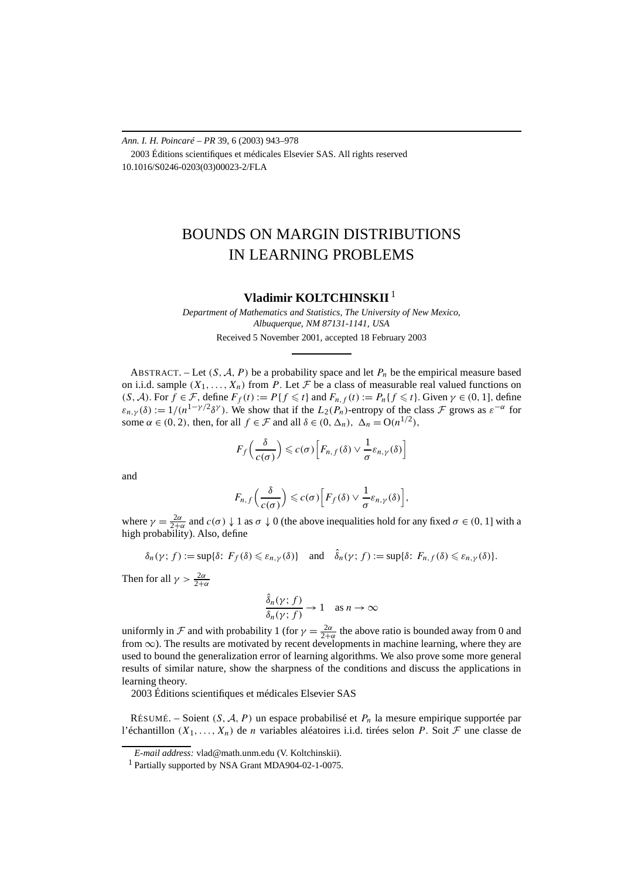*Ann. I. H. Poincaré – PR* 39, 6 (2003) 943–978 2003 Éditions scientifiques et médicales Elsevier SAS. All rights reserved 10.1016/S0246-0203(03)00023-2/FLA

# BOUNDS ON MARGIN DISTRIBUTIONS IN LEARNING PROBLEMS

# **Vladimir KOLTCHINSKII** <sup>1</sup>

*Department of Mathematics and Statistics, The University of New Mexico, Albuquerque, NM 87131-1141, USA* Received 5 November 2001, accepted 18 February 2003

ABSTRACT. – Let  $(S, \mathcal{A}, P)$  be a probability space and let  $P_n$  be the empirical measure based on i.i.d. sample  $(X_1, \ldots, X_n)$  from *P*. Let *F* be a class of measurable real valued functions on  $(S, \mathcal{A})$ . For  $f \in \mathcal{F}$ , define  $F_f(t) := P\{f \leq t\}$  and  $F_{n,f}(t) := P_n\{f \leq t\}$ . Given  $\gamma \in (0, 1]$ , define  $\varepsilon_{n,\gamma}(\delta) := 1/(n^{1-\gamma/2}\delta^{\gamma})$ . We show that if the *L*<sub>2</sub>*(P<sub>n</sub>)*-entropy of the class *F* grows as  $\varepsilon^{-\alpha}$  for some  $\alpha \in (0, 2)$ , then, for all  $f \in \mathcal{F}$  and all  $\delta \in (0, \Delta_n)$ ,  $\Delta_n = O(n^{1/2})$ ,

$$
F_f\left(\frac{\delta}{c(\sigma)}\right) \leqslant c(\sigma)\left[F_{n,f}(\delta) \vee \frac{1}{\sigma} \varepsilon_{n,\gamma}(\delta)\right]
$$

and

$$
F_{n,f}\left(\frac{\delta}{c(\sigma)}\right) \leqslant c(\sigma)\left[F_f(\delta) \vee \frac{1}{\sigma}\varepsilon_{n,\gamma}(\delta)\right],
$$

where  $\gamma = \frac{2\alpha}{2+\alpha}$  and  $c(\sigma) \downarrow 1$  as  $\sigma \downarrow 0$  (the above inequalities hold for any fixed  $\sigma \in (0, 1]$  with a high probability). Also, define

$$
\delta_n(\gamma; f) := \sup \{ \delta \colon F_f(\delta) \leq \varepsilon_{n,\gamma}(\delta) \} \quad \text{and} \quad \hat{\delta}_n(\gamma; f) := \sup \{ \delta \colon F_{n,f}(\delta) \leq \varepsilon_{n,\gamma}(\delta) \}.
$$

Then for all  $\gamma > \frac{2\alpha}{2+\alpha}$ 

$$
\frac{\hat{\delta}_n(\gamma; f)}{\delta_n(\gamma; f)} \to 1 \quad \text{as } n \to \infty
$$

uniformly in F and with probability 1 (for  $\gamma = \frac{2\alpha}{2+\alpha}$  the above ratio is bounded away from 0 and from  $\infty$ ). The results are motivated by recent developments in machine learning, where they are used to bound the generalization error of learning algorithms. We also prove some more general results of similar nature, show the sharpness of the conditions and discuss the applications in learning theory.

2003 Éditions scientifiques et médicales Elsevier SAS

RÉSUMÉ. – Soient  $(S, \mathcal{A}, P)$  un espace probabilisé et  $P_n$  la mesure empirique supportée par l'échantillon  $(X_1, \ldots, X_n)$  de *n* variables aléatoires i.i.d. tirées selon *P*. Soit *F* une classe de

*E-mail address:* vlad@math.unm.edu (V. Koltchinskii).

<sup>1</sup> Partially supported by NSA Grant MDA904-02-1-0075.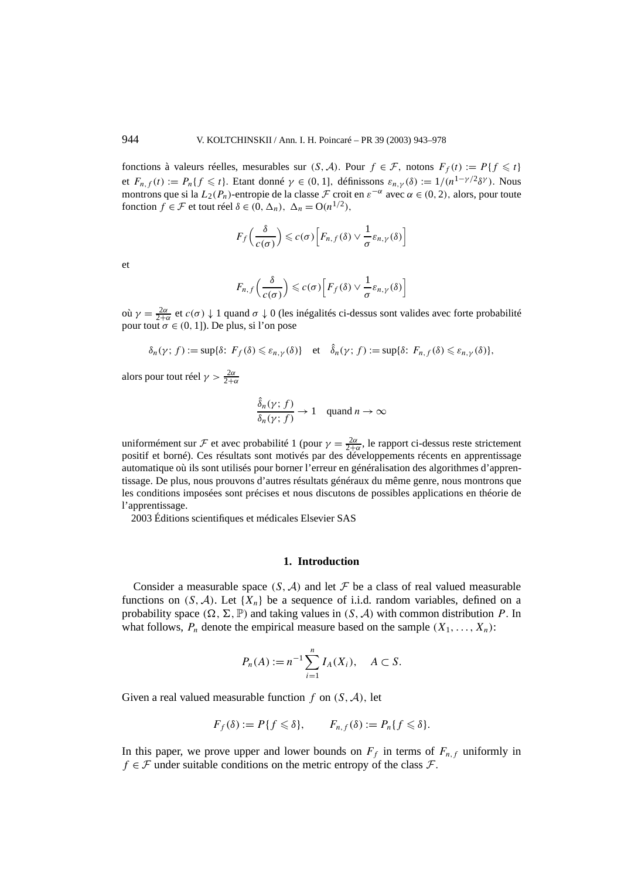fonctions à valeurs réelles, mesurables sur *(S, A)*. Pour  $f \in \mathcal{F}$ , notons  $F_f(t) := P\{f \le t\}$ et  $F_{n,f}(t) := P_n\{f \le t\}$ . Etant donné  $\gamma \in (0,1]$ , définissons  $\varepsilon_{n,\gamma}(\delta) := 1/(n^{1-\gamma/2}\delta^{\gamma})$ . Nous montrons que si la  $L_2(P_n)$ -entropie de la classe  $\mathcal F$  croit en  $\varepsilon^{-\alpha}$  avec  $\alpha \in (0, 2)$ , alors, pour toute fonction  $f \in \mathcal{F}$  et tout réel  $\delta \in (0, \Delta_n)$ ,  $\Delta_n = O(n^{1/2})$ ,

$$
F_f\left(\frac{\delta}{c(\sigma)}\right) \leqslant c(\sigma)\left[F_{n,f}(\delta) \vee \frac{1}{\sigma}\varepsilon_{n,\gamma}(\delta)\right]
$$

et

$$
F_{n,f}\left(\frac{\delta}{c(\sigma)}\right) \leqslant c(\sigma)\left[F_f(\delta) \vee \frac{1}{\sigma} \varepsilon_{n,\gamma}(\delta)\right]
$$

où *γ* = <sup>2</sup>*<sup>α</sup>* <sup>2</sup>+*<sup>α</sup>* et *c(σ )* ↓ 1 quand *σ* ↓ 0 (les inégalités ci-dessus sont valides avec forte probabilité pour tout  $\sigma \in (0, 1]$ ). De plus, si l'on pose

$$
\delta_n(\gamma; f) := \sup \{ \delta: F_f(\delta) \leq \varepsilon_{n,\gamma}(\delta) \} \quad \text{et} \quad \hat{\delta}_n(\gamma; f) := \sup \{ \delta: F_{n,f}(\delta) \leq \varepsilon_{n,\gamma}(\delta) \},
$$

alors pour tout réel  $\gamma > \frac{2\alpha}{2+\alpha}$ 

$$
\frac{\hat{\delta}_n(\gamma; f)}{\delta_n(\gamma; f)} \to 1 \quad \text{quand } n \to \infty
$$

uniformément sur F et avec probabilité 1 (pour  $\gamma = \frac{2\alpha}{2+\alpha}$ , le rapport ci-dessus reste strictement positif et borné). Ces résultats sont motivés par des développements récents en apprentissage automatique où ils sont utilisés pour borner l'erreur en généralisation des algorithmes d'apprentissage. De plus, nous prouvons d'autres résultats généraux du même genre, nous montrons que les conditions imposées sont précises et nous discutons de possibles applications en théorie de l'apprentissage.

2003 Éditions scientifiques et médicales Elsevier SAS

## **1. Introduction**

Consider a measurable space  $(S, \mathcal{A})$  and let  $\mathcal F$  be a class of real valued measurable functions on  $(S, \mathcal{A})$ . Let  $\{X_n\}$  be a sequence of i.i.d. random variables, defined on a probability space  $(\Omega, \Sigma, \mathbb{P})$  and taking values in  $(S, \mathcal{A})$  with common distribution *P*. In what follows,  $P_n$  denote the empirical measure based on the sample  $(X_1, \ldots, X_n)$ :

$$
P_n(A) := n^{-1} \sum_{i=1}^n I_A(X_i), \quad A \subset S.
$$

Given a real valued measurable function *f* on *(S,*A*),* let

$$
F_f(\delta) := P\{f \leq \delta\}, \qquad F_{n,f}(\delta) := P_n\{f \leq \delta\}.
$$

In this paper, we prove upper and lower bounds on  $F_f$  in terms of  $F_{n,f}$  uniformly in *f* ∈  $F$  under suitable conditions on the metric entropy of the class  $F$ .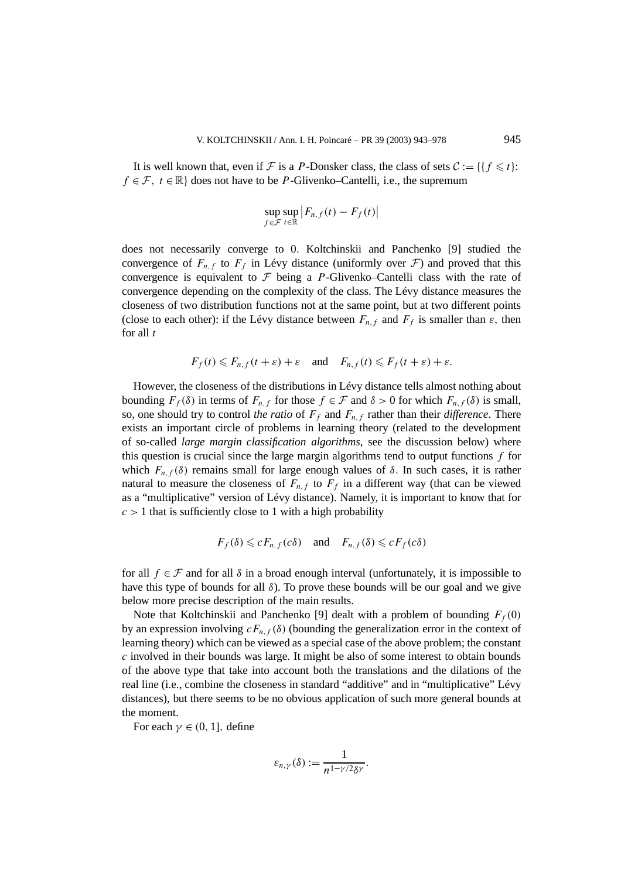It is well known that, even if F is a P-Donsker class, the class of sets  $C := \{ \{ f \le t \} \}$ :  $f \in \mathcal{F}$ ,  $t \in \mathbb{R}$  does not have to be *P*-Glivenko–Cantelli, i.e., the supremum

$$
\sup_{f \in \mathcal{F}} \sup_{t \in \mathbb{R}} \left| F_{n,f}(t) - F_f(t) \right|
$$

does not necessarily converge to 0*.* Koltchinskii and Panchenko [9] studied the convergence of  $F_{n,f}$  to  $F_f$  in Lévy distance (uniformly over  $\mathcal F$ ) and proved that this convergence is equivalent to  $\mathcal F$  being a *P*-Glivenko–Cantelli class with the rate of convergence depending on the complexity of the class. The Lévy distance measures the closeness of two distribution functions not at the same point, but at two different points (close to each other): if the Lévy distance between  $F_{n,f}$  and  $F_f$  is smaller than  $\varepsilon$ , then for all *t*

$$
F_f(t) \leq F_{n,f}(t+\varepsilon) + \varepsilon
$$
 and  $F_{n,f}(t) \leq F_f(t+\varepsilon) + \varepsilon$ .

However, the closeness of the distributions in Lévy distance tells almost nothing about bounding  $F_f(\delta)$  in terms of  $F_{n,f}$  for those  $f \in \mathcal{F}$  and  $\delta > 0$  for which  $F_{n,f}(\delta)$  is small, so, one should try to control *the ratio* of  $F_f$  and  $F_{n,f}$  rather than their *difference*. There exists an important circle of problems in learning theory (related to the development of so-called *large margin classification algorithms*, see the discussion below) where this question is crucial since the large margin algorithms tend to output functions *f* for which  $F_{n,f}(\delta)$  remains small for large enough values of  $\delta$ . In such cases, it is rather natural to measure the closeness of  $F_{n,f}$  to  $F_f$  in a different way (that can be viewed as a "multiplicative" version of Lévy distance). Namely, it is important to know that for  $c > 1$  that is sufficiently close to 1 with a high probability

$$
F_f(\delta) \leqslant c F_{n,f}(c\delta)
$$
 and  $F_{n,f}(\delta) \leqslant c F_f(c\delta)$ 

for all  $f \in \mathcal{F}$  and for all  $\delta$  in a broad enough interval (unfortunately, it is impossible to have this type of bounds for all *δ*). To prove these bounds will be our goal and we give below more precise description of the main results.

Note that Koltchinskii and Panchenko [9] dealt with a problem of bounding  $F_f(0)$ by an expression involving  $cF_{n,f}(\delta)$  (bounding the generalization error in the context of learning theory) which can be viewed as a special case of the above problem; the constant *c* involved in their bounds was large. It might be also of some interest to obtain bounds of the above type that take into account both the translations and the dilations of the real line (i.e., combine the closeness in standard "additive" and in "multiplicative" Lévy distances), but there seems to be no obvious application of such more general bounds at the moment.

For each  $\gamma \in (0, 1]$ , define

$$
\varepsilon_{n,\gamma}(\delta) := \frac{1}{n^{1-\gamma/2}\delta^{\gamma}}.
$$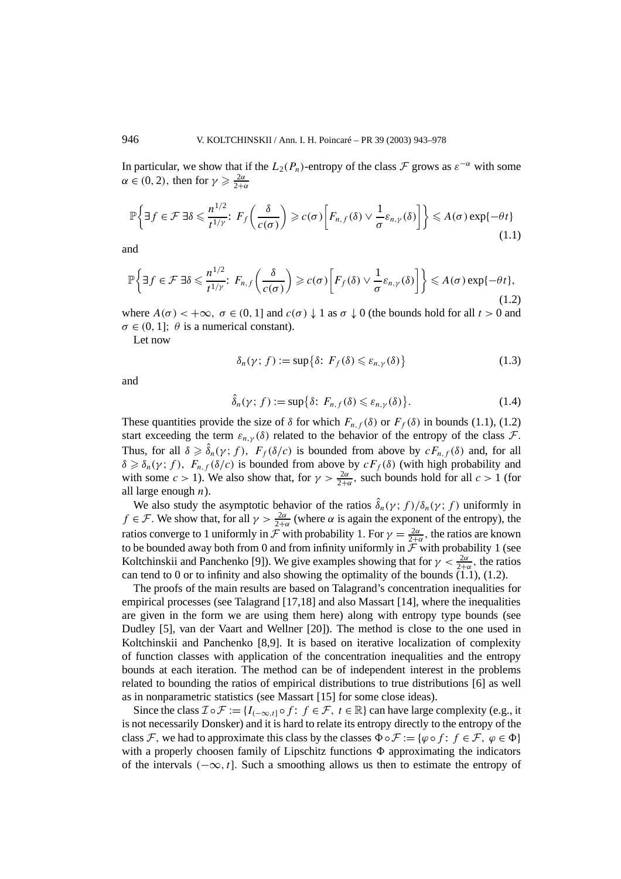In particular, we show that if the  $L_2(P_n)$ -entropy of the class  $\mathcal F$  grows as  $\varepsilon^{-\alpha}$  with some  $\alpha \in (0, 2)$ , then for  $\gamma \geqslant \frac{2\alpha}{2+\alpha}$ 

$$
\mathbb{P}\bigg\{\exists f \in \mathcal{F} \; \exists \delta \leqslant \frac{n^{1/2}}{t^{1/\gamma}} \colon \, F_f\bigg(\frac{\delta}{c(\sigma)}\bigg) \geqslant c(\sigma) \bigg[F_{n,f}(\delta) \vee \frac{1}{\sigma} \varepsilon_{n,\gamma}(\delta)\bigg]\bigg\} \leqslant A(\sigma) \exp\{-\theta t\} \tag{1.1}
$$

and

$$
\mathbb{P}\bigg\{\exists f \in \mathcal{F} \, \exists \delta \leqslant \frac{n^{1/2}}{t^{1/\gamma}} \colon F_{n,f}\left(\frac{\delta}{c(\sigma)}\right) \geqslant c(\sigma) \bigg[F_f(\delta) \vee \frac{1}{\sigma} \varepsilon_{n,\gamma}(\delta)\bigg]\bigg\} \leqslant A(\sigma) \exp\{-\theta t\},\tag{1.2}
$$

where  $A(\sigma) < +\infty$ ,  $\sigma \in (0, 1]$  and  $c(\sigma) \downarrow 1$  as  $\sigma \downarrow 0$  (the bounds hold for all  $t > 0$  and  $\sigma \in (0, 1]$ ;  $\theta$  is a numerical constant).

Let now

$$
\delta_n(\gamma; f) := \sup \{ \delta \colon F_f(\delta) \leq \varepsilon_{n,\gamma}(\delta) \}
$$
\n(1.3)

and

$$
\hat{\delta}_n(\gamma; f) := \sup \{ \delta \colon F_{n,f}(\delta) \leq \varepsilon_{n,\gamma}(\delta) \}.
$$
\n(1.4)

These quantities provide the size of  $\delta$  for which  $F_{n,f}(\delta)$  or  $F_f(\delta)$  in bounds (1.1), (1.2) start exceeding the term  $\varepsilon_{n,\nu}(\delta)$  related to the behavior of the entropy of the class  $\mathcal{F}$ . Thus, for all  $\delta \geq \hat{\delta}_n(\gamma; f)$ ,  $F_f(\delta/c)$  is bounded from above by  $cF_{n,f}(\delta)$  and, for all  $\delta \geq \delta_n(\gamma; f)$ ,  $F_{n,f}(\delta/c)$  is bounded from above by  $cF_f(\delta)$  (with high probability and with some  $c > 1$ ). We also show that, for  $\gamma > \frac{2\alpha}{2+\alpha}$ , such bounds hold for all  $c > 1$  (for all large enough *n*).

We also study the asymptotic behavior of the ratios  $\hat{\delta}_n(\gamma; f)/\delta_n(\gamma; f)$  uniformly in *f* ∈ *F*. We show that, for all  $\gamma > \frac{2\alpha}{2+\alpha}$  (where  $\alpha$  is again the exponent of the entropy), the ratios converge to 1 uniformly in  $\mathcal F$  with probability 1. For  $\gamma = \frac{2\alpha}{2+\alpha}$ , the ratios are known to be bounded away both from 0 and from infinity uniformly in  $\mathcal{F}$  with probability 1 (see Koltchinskii and Panchenko [9]). We give examples showing that for  $\gamma < \frac{2\alpha}{2+\alpha}$ , the ratios can tend to 0 or to infinity and also showing the optimality of the bounds  $(1.1)$ ,  $(1.2)$ .

The proofs of the main results are based on Talagrand's concentration inequalities for empirical processes (see Talagrand [17,18] and also Massart [14], where the inequalities are given in the form we are using them here) along with entropy type bounds (see Dudley [5], van der Vaart and Wellner [20]). The method is close to the one used in Koltchinskii and Panchenko [8,9]. It is based on iterative localization of complexity of function classes with application of the concentration inequalities and the entropy bounds at each iteration. The method can be of independent interest in the problems related to bounding the ratios of empirical distributions to true distributions [6] as well as in nonparametric statistics (see Massart [15] for some close ideas).

Since the class  $\mathcal{I} \circ \mathcal{F} := \{I_{(-\infty,t]} \circ f : f \in \mathcal{F}, t \in \mathbb{R}\}$  can have large complexity (e.g., it is not necessarily Donsker) and it is hard to relate its entropy directly to the entropy of the class F, we had to approximate this class by the classes  $\Phi \circ \mathcal{F} := \{ \varphi \circ f : f \in \mathcal{F}, \varphi \in \Phi \}$ with a properly choosen family of Lipschitz functions  $\Phi$  approximating the indicators of the intervals *(*−∞*, t*]*.* Such a smoothing allows us then to estimate the entropy of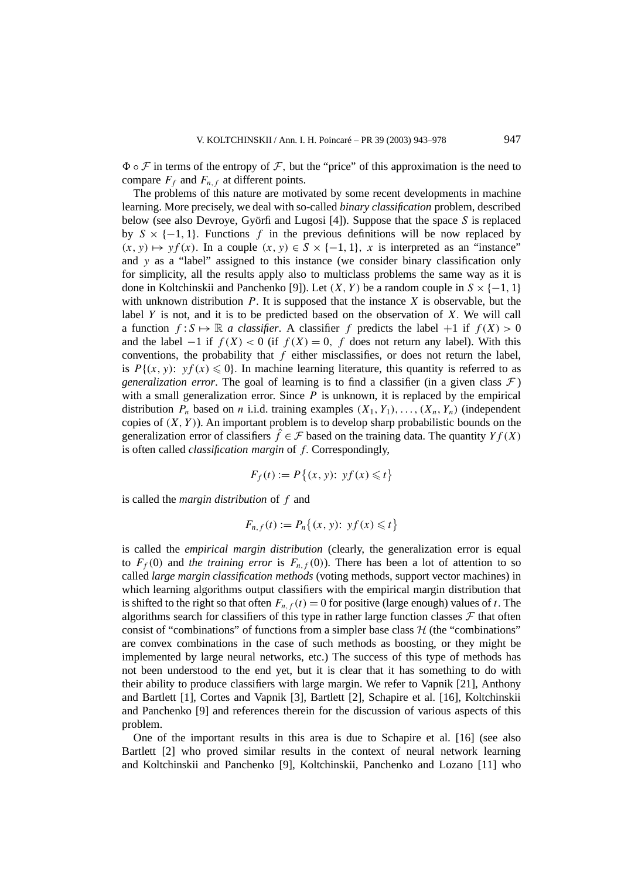$\Phi \circ \mathcal{F}$  in terms of the entropy of  $\mathcal{F}$ , but the "price" of this approximation is the need to compare  $F_f$  and  $F_{n,f}$  at different points.

The problems of this nature are motivated by some recent developments in machine learning. More precisely, we deal with so-called *binary classification* problem, described below (see also Devroye, Györfi and Lugosi [4]). Suppose that the space *S* is replaced by  $S \times \{-1, 1\}$ . Functions *f* in the previous definitions will be now replaced by  $(x, y) \mapsto y f(x)$ . In a couple  $(x, y) \in S \times \{-1, 1\}$ , x is interpreted as an "instance" and *y* as a "label" assigned to this instance (we consider binary classification only for simplicity, all the results apply also to multiclass problems the same way as it is done in Koltchinskii and Panchenko [9]). Let  $(X, Y)$  be a random couple in  $S \times \{-1, 1\}$ with unknown distribution *P.* It is supposed that the instance *X* is observable, but the label *Y* is not, and it is to be predicted based on the observation of *X.* We will call a function  $f: S \mapsto \mathbb{R}$  *a classifier*. A classifier *f* predicts the label +1 if  $f(X) > 0$ and the label  $-1$  if  $f(X) < 0$  (if  $f(X) = 0$ , f does not return any label). With this conventions, the probability that *f* either misclassifies, or does not return the label, is  $P\{(x, y): y f(x) \le 0\}$ . In machine learning literature, this quantity is referred to as *generalization error*. The goal of learning is to find a classifier (in a given class  $\mathcal{F}$ ) with a small generalization error. Since *P* is unknown, it is replaced by the empirical distribution  $P_n$  based on *n* i.i.d. training examples  $(X_1, Y_1), \ldots, (X_n, Y_n)$  (independent copies of *(X, Y )*). An important problem is to develop sharp probabilistic bounds on the generalization error of classifiers  $\hat{f} \in \mathcal{F}$  based on the training data. The quantity  $Yf(X)$ is often called *classification margin* of *f.* Correspondingly,

$$
F_f(t) := P\{(x, y): yf(x) \leq t\}
$$

is called the *margin distribution* of *f* and

$$
F_{n,f}(t) := P_n\{(x, y): yf(x) \leq t\}
$$

is called the *empirical margin distribution* (clearly, the generalization error is equal to  $F_f(0)$  and *the training error* is  $F_{n,f}(0)$ ). There has been a lot of attention to so called *large margin classification methods* (voting methods, support vector machines) in which learning algorithms output classifiers with the empirical margin distribution that is shifted to the right so that often  $F_{n,f}(t) = 0$  for positive (large enough) values of *t*. The algorithms search for classifiers of this type in rather large function classes  $\mathcal F$  that often consist of "combinations" of functions from a simpler base class  $H$  (the "combinations" are convex combinations in the case of such methods as boosting, or they might be implemented by large neural networks, etc.) The success of this type of methods has not been understood to the end yet, but it is clear that it has something to do with their ability to produce classifiers with large margin. We refer to Vapnik [21], Anthony and Bartlett [1], Cortes and Vapnik [3], Bartlett [2], Schapire et al. [16], Koltchinskii and Panchenko [9] and references therein for the discussion of various aspects of this problem.

One of the important results in this area is due to Schapire et al. [16] (see also Bartlett [2] who proved similar results in the context of neural network learning and Koltchinskii and Panchenko [9], Koltchinskii, Panchenko and Lozano [11] who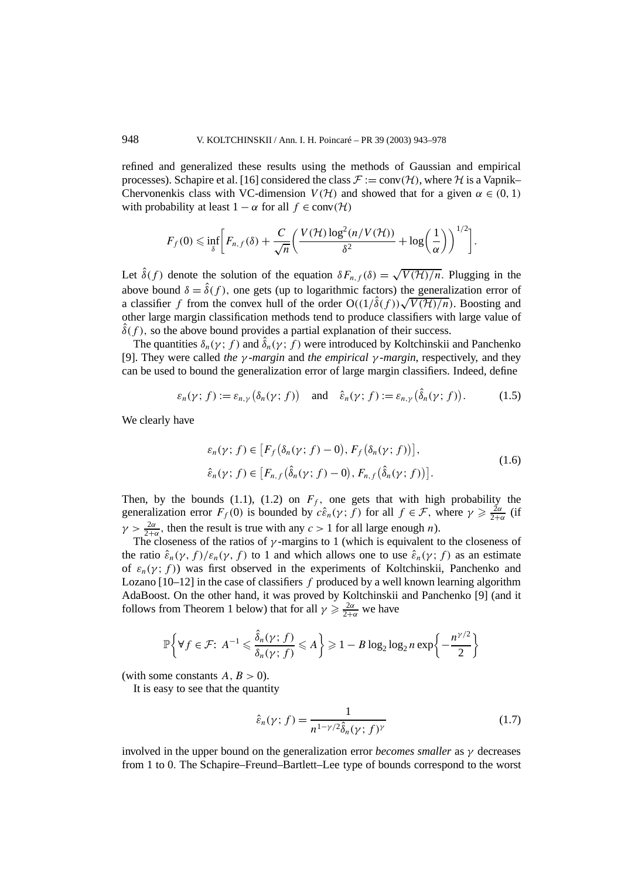refined and generalized these results using the methods of Gaussian and empirical processes). Schapire et al. [16] considered the class  $\mathcal{F} := \text{conv}(\mathcal{H})$ , where  $\mathcal{H}$  is a Vapnik– Chervonenkis class with VC-dimension  $V(\mathcal{H})$  and showed that for a given  $\alpha \in (0, 1)$ with probability at least  $1 - \alpha$  for all  $f \in \text{conv}(\mathcal{H})$ 

$$
F_f(0) \leqslant \inf_{\delta} \bigg[ F_{n,f}(\delta) + \frac{C}{\sqrt{n}} \bigg( \frac{V(\mathcal{H}) \log^2(n/V(\mathcal{H}))}{\delta^2} + \log \bigg( \frac{1}{\alpha} \bigg) \bigg)^{1/2} \bigg].
$$

Let  $\hat{\delta}(f)$  denote the solution of the equation  $\delta F_{n,f}(\delta) = \sqrt{V(H)/n}$ . Plugging in the above bound  $\delta = \hat{\delta}(f)$ , one gets (up to logarithmic factors) the generalization error of a classifier *f* from the convex hull of the order  $O((1/\hat{\delta}(f))\sqrt{V(\mathcal{H})/n})$ . Boosting and other large margin classification methods tend to produce classifiers with large value of  $\delta(f)$ , so the above bound provides a partial explanation of their success.

The quantities  $\delta_n(\gamma; f)$  and  $\hat{\delta}_n(\gamma; f)$  were introduced by Koltchinskii and Panchenko [9]. They were called *the γ -margin* and *the empirical γ -margin*, respectively, and they can be used to bound the generalization error of large margin classifiers. Indeed, define

$$
\varepsilon_n(\gamma; f) := \varepsilon_{n,\gamma} \big( \delta_n(\gamma; f) \big) \quad \text{and} \quad \hat{\varepsilon}_n(\gamma; f) := \varepsilon_{n,\gamma} \big( \hat{\delta}_n(\gamma; f) \big). \tag{1.5}
$$

We clearly have

$$
\varepsilon_n(\gamma; f) \in [F_f(\delta_n(\gamma; f) - 0), F_f(\delta_n(\gamma; f))],
$$
  

$$
\hat{\varepsilon}_n(\gamma; f) \in [F_{n,f}(\hat{\delta}_n(\gamma; f) - 0), F_{n,f}(\hat{\delta}_n(\gamma; f))].
$$
 (1.6)

Then, by the bounds (1.1), (1.2) on  $F_f$ , one gets that with high probability the generalization error  $F_f(0)$  is bounded by  $c\hat{\epsilon}_n(\gamma; f)$  for all  $f \in \mathcal{F}$ , where  $\gamma \geq \frac{2\alpha}{2+\alpha}$  (if  $\gamma > \frac{2\alpha}{2+\alpha}$ , then the result is true with any  $c > 1$  for all large enough *n*).

The closeness of the ratios of  $\gamma$ -margins to 1 (which is equivalent to the closeness of the ratio  $\hat{\varepsilon}_n(\gamma, f)/\varepsilon_n(\gamma, f)$  to 1 and which allows one to use  $\hat{\varepsilon}_n(\gamma, f)$  as an estimate of  $\varepsilon_n(\gamma; f)$ ) was first observed in the experiments of Koltchinskii, Panchenko and Lozano [10–12] in the case of classifiers *f* produced by a well known learning algorithm AdaBoost. On the other hand, it was proved by Koltchinskii and Panchenko [9] (and it follows from Theorem 1 below) that for all  $\gamma \ge \frac{2\alpha}{2+\alpha}$  we have

$$
\mathbb{P}\bigg\{\forall f \in \mathcal{F}: A^{-1} \leqslant \frac{\hat{\delta}_n(\gamma; f)}{\delta_n(\gamma; f)} \leqslant A\bigg\} \geqslant 1 - B\log_2\log_2 n \exp\bigg\{-\frac{n^{\gamma/2}}{2}\bigg\}
$$

(with some constants  $A, B > 0$ ).

It is easy to see that the quantity

$$
\hat{\varepsilon}_n(\gamma; f) = \frac{1}{n^{1-\gamma/2} \hat{\delta}_n(\gamma; f)^\gamma}
$$
\n(1.7)

involved in the upper bound on the generalization error *becomes smaller* as  $\gamma$  decreases from 1 to 0*.* The Schapire–Freund–Bartlett–Lee type of bounds correspond to the worst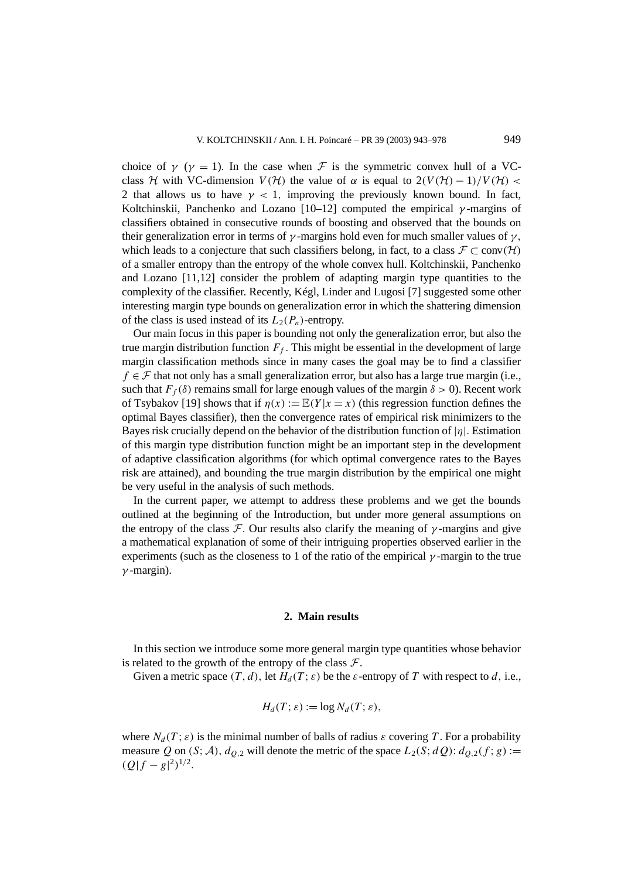choice of  $\gamma$  ( $\gamma = 1$ ). In the case when F is the symmetric convex hull of a VCclass H with VC-dimension  $V(H)$  the value of  $\alpha$  is equal to  $2(V(H)-1)/V(H)$  < 2 that allows us to have  $\gamma$  < 1, improving the previously known bound. In fact, Koltchinskii, Panchenko and Lozano [10–12] computed the empirical *γ* -margins of classifiers obtained in consecutive rounds of boosting and observed that the bounds on their generalization error in terms of *γ* -margins hold even for much smaller values of *γ ,* which leads to a conjecture that such classifiers belong, in fact, to a class  $\mathcal{F} \subset \text{conv}(\mathcal{H})$ of a smaller entropy than the entropy of the whole convex hull. Koltchinskii, Panchenko and Lozano [11,12] consider the problem of adapting margin type quantities to the complexity of the classifier. Recently, Kégl, Linder and Lugosi [7] suggested some other interesting margin type bounds on generalization error in which the shattering dimension of the class is used instead of its  $L_2(P_n)$ -entropy.

Our main focus in this paper is bounding not only the generalization error, but also the true margin distribution function  $F_f$ . This might be essential in the development of large margin classification methods since in many cases the goal may be to find a classifier  $f \in \mathcal{F}$  that not only has a small generalization error, but also has a large true margin (i.e., such that  $F_f(\delta)$  remains small for large enough values of the margin  $\delta > 0$ ). Recent work of Tsybakov [19] shows that if  $\eta(x) := \mathbb{E}(Y | x = x)$  (this regression function defines the optimal Bayes classifier), then the convergence rates of empirical risk minimizers to the Bayes risk crucially depend on the behavior of the distribution function of |*η*|*.* Estimation of this margin type distribution function might be an important step in the development of adaptive classification algorithms (for which optimal convergence rates to the Bayes risk are attained), and bounding the true margin distribution by the empirical one might be very useful in the analysis of such methods.

In the current paper, we attempt to address these problems and we get the bounds outlined at the beginning of the Introduction, but under more general assumptions on the entropy of the class F. Our results also clarify the meaning of  $\gamma$ -margins and give a mathematical explanation of some of their intriguing properties observed earlier in the experiments (such as the closeness to 1 of the ratio of the empirical *γ* -margin to the true *γ* -margin).

# **2. Main results**

In this section we introduce some more general margin type quantities whose behavior is related to the growth of the entropy of the class  $\mathcal{F}$ .

Given a metric space  $(T, d)$ , let  $H_d(T; \varepsilon)$  be the  $\varepsilon$ -entropy of T with respect to d, i.e.,

$$
H_d(T; \varepsilon) := \log N_d(T; \varepsilon),
$$

where  $N_d(T; \varepsilon)$  is the minimal number of balls of radius  $\varepsilon$  covering T. For a probability measure *Q* on  $(S; A)$ ,  $d_{0,2}$  will denote the metric of the space  $L_2(S; dQ)$ :  $d_{0,2}(f; g)$ :=  $(Q|f-g|^2)^{1/2}$ .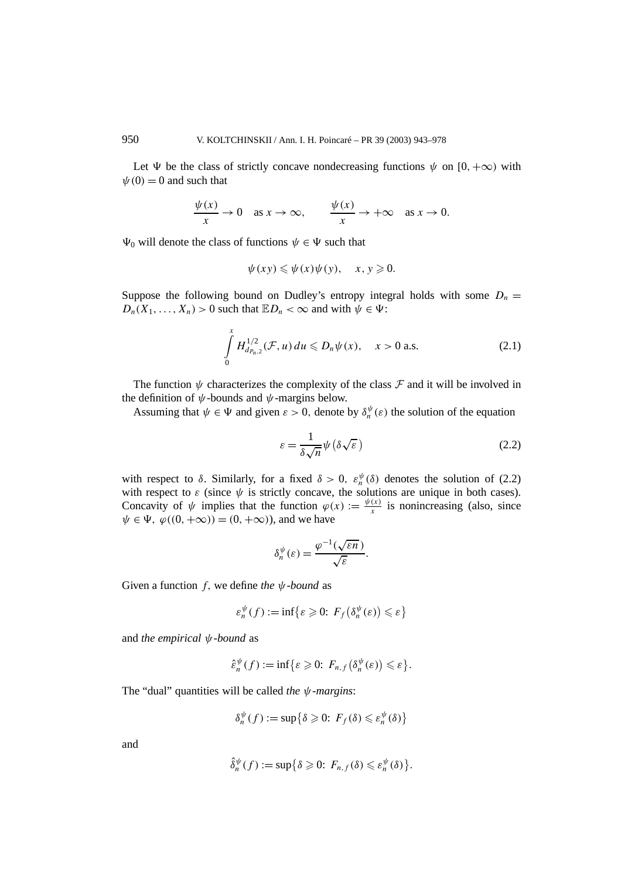Let  $\Psi$  be the class of strictly concave nondecreasing functions  $\psi$  on [0*,*+ $\infty$ *)* with  $\psi(0) = 0$  and such that

$$
\frac{\psi(x)}{x} \to 0 \quad \text{as } x \to \infty, \qquad \frac{\psi(x)}{x} \to +\infty \quad \text{as } x \to 0.
$$

 $\Psi_0$  will denote the class of functions  $\psi \in \Psi$  such that

$$
\psi(xy) \leqslant \psi(x)\psi(y), \quad x, y \geqslant 0.
$$

Suppose the following bound on Dudley's entropy integral holds with some  $D_n =$  $D_n(X_1, \ldots, X_n) > 0$  such that  $\mathbb{E} D_n < \infty$  and with  $\psi \in \Psi$ :

$$
\int_{0}^{x} H_{d_{P_n,2}}^{1/2}(\mathcal{F}, u) du \le D_n \psi(x), \quad x > 0 \text{ a.s.}
$$
 (2.1)

The function  $\psi$  characterizes the complexity of the class  $\mathcal F$  and it will be involved in the definition of *ψ*-bounds and *ψ*-margins below.

Assuming that  $\psi \in \Psi$  and given  $\varepsilon > 0$ , denote by  $\delta_n^{\psi}(\varepsilon)$  the solution of the equation

$$
\varepsilon = \frac{1}{\delta \sqrt{n}} \psi \left( \delta \sqrt{\varepsilon} \right) \tag{2.2}
$$

with respect to  $\delta$ . Similarly, for a fixed  $\delta > 0$ ,  $\varepsilon_n^{\psi}(\delta)$  denotes the solution of (2.2) with respect to  $\varepsilon$  (since  $\psi$  is strictly concave, the solutions are unique in both cases). Concavity of  $\psi$  implies that the function  $\varphi(x) := \frac{\psi(x)}{x}$  is nonincreasing (also, since  $\psi \in \Psi$ ,  $\varphi((0, +\infty)) = (0, +\infty)$ , and we have

$$
\delta_n^{\psi}(\varepsilon) = \frac{\varphi^{-1}(\sqrt{\varepsilon n})}{\sqrt{\varepsilon}}.
$$

Given a function *f,* we define *the ψ-bound* as

$$
\varepsilon_n^{\psi}(f) := \inf \{ \varepsilon \geq 0 : F_f(\delta_n^{\psi}(\varepsilon)) \leq \varepsilon \}
$$

and *the empirical ψ-bound* as

$$
\hat{\varepsilon}_n^{\psi}(f) := \inf \{ \varepsilon \geq 0 : F_{n,f}(\delta_n^{\psi}(\varepsilon)) \leq \varepsilon \}.
$$

The "dual" quantities will be called *the ψ-margins*:

$$
\delta_n^{\psi}(f) := \sup \{ \delta \geq 0 : F_f(\delta) \leq \varepsilon_n^{\psi}(\delta) \}
$$

and

$$
\hat{\delta}_n^{\psi}(f) := \sup \{ \delta \geq 0 : F_{n,f}(\delta) \leq \varepsilon_n^{\psi}(\delta) \}.
$$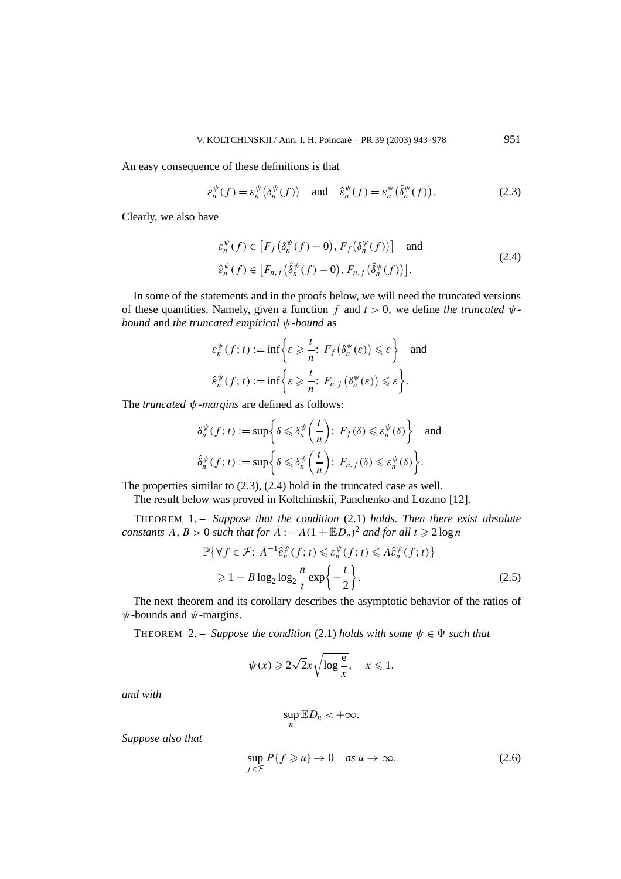An easy consequence of these definitions is that

$$
\varepsilon_n^{\psi}(f) = \varepsilon_n^{\psi}(\delta_n^{\psi}(f)) \quad \text{and} \quad \hat{\varepsilon}_n^{\psi}(f) = \varepsilon_n^{\psi}(\hat{\delta}_n^{\psi}(f)). \tag{2.3}
$$

Clearly, we also have

$$
\varepsilon_n^{\psi}(f) \in \left[ F_f\left( \delta_n^{\psi}(f) - 0 \right), F_f\left( \delta_n^{\psi}(f) \right) \right] \text{ and}
$$
\n
$$
\hat{\varepsilon}_n^{\psi}(f) \in \left[ F_{n,f}\left( \hat{\delta}_n^{\psi}(f) - 0 \right), F_{n,f}\left( \hat{\delta}_n^{\psi}(f) \right) \right].
$$
\n(2.4)

In some of the statements and in the proofs below, we will need the truncated versions of these quantities. Namely, given a function *f* and *t >* 0*,* we define *the truncated ψbound* and *the truncated empirical ψ-bound* as

$$
\varepsilon_n^{\psi}(f; t) := \inf \left\{ \varepsilon \geq \frac{t}{n} \colon F_f(\delta_n^{\psi}(\varepsilon)) \leq \varepsilon \right\} \text{ and }
$$
  

$$
\hat{\varepsilon}_n^{\psi}(f; t) := \inf \left\{ \varepsilon \geq \frac{t}{n} \colon F_{n, f}(\delta_n^{\psi}(\varepsilon)) \leq \varepsilon \right\}.
$$

The *truncated ψ-margins* are defined as follows:

$$
\delta_n^{\psi}(f; t) := \sup \left\{ \delta \leq \delta_n^{\psi} \left( \frac{t}{n} \right) : F_f(\delta) \leq \varepsilon_n^{\psi}(\delta) \right\} \text{ and }
$$
  

$$
\hat{\delta}_n^{\psi}(f; t) := \sup \left\{ \delta \leq \delta_n^{\psi} \left( \frac{t}{n} \right) : F_{n, f}(\delta) \leq \varepsilon_n^{\psi}(\delta) \right\}.
$$

The properties similar to (2.3), (2.4) hold in the truncated case as well.

The result below was proved in Koltchinskii, Panchenko and Lozano [12].

THEOREM 1. – *Suppose that the condition* (2.1) *holds. Then there exist absolute constants*  $A, B > 0$  *such that for*  $\overline{A} := A(1 + \mathbb{E}D_n)^2$  *and for all*  $t \ge 2 \log n$ 

$$
\mathbb{P}\{\forall f \in \mathcal{F}: \bar{A}^{-1}\hat{\varepsilon}_n^{\psi}(f;t) \leqslant \varepsilon_n^{\psi}(f;t) \leqslant \bar{A}\hat{\varepsilon}_n^{\psi}(f;t)\}
$$
\n
$$
\geqslant 1 - B \log_2 \log_2 \frac{n}{t} \exp\left\{-\frac{t}{2}\right\}.
$$
\n(2.5)

The next theorem and its corollary describes the asymptotic behavior of the ratios of *ψ*-bounds and *ψ*-margins.

THEOREM 2. – *Suppose the condition* (2.1) *holds with some*  $\psi \in \Psi$  *such that* 

$$
\psi(x) \geqslant 2\sqrt{2}x \sqrt{\log \frac{e}{x}}, \quad x \leqslant 1,
$$

*and with*

$$
\sup_n \mathbb{E} D_n < +\infty.
$$

*Suppose also that*

$$
\sup_{f \in \mathcal{F}} P\{f \ge u\} \to 0 \quad \text{as } u \to \infty. \tag{2.6}
$$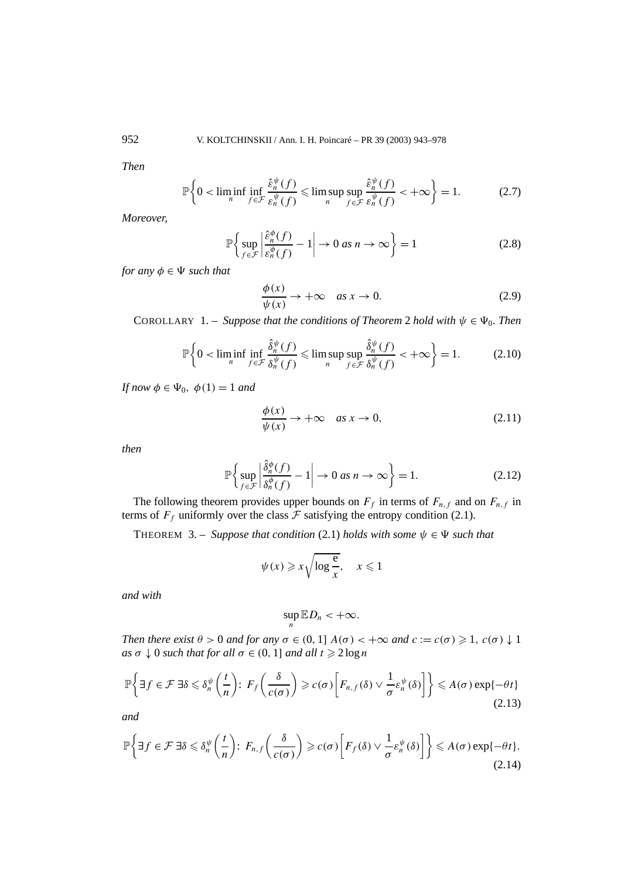*Then*

$$
\mathbb{P}\bigg\{0 < \liminf_{n} \inf_{f \in \mathcal{F}} \frac{\hat{\varepsilon}_n^{\psi}(f)}{\varepsilon_n^{\psi}(f)} \leqslant \limsup_{n} \sup_{f \in \mathcal{F}} \frac{\hat{\varepsilon}_n^{\psi}(f)}{\varepsilon_n^{\psi}(f)} < +\infty\bigg\} = 1. \tag{2.7}
$$

*Moreover,*

$$
\mathbb{P}\left\{\sup_{f\in\mathcal{F}}\left|\frac{\hat{\varepsilon}_n^{\phi}(f)}{\varepsilon_n^{\phi}(f)} - 1\right| \to 0 \text{ as } n \to \infty\right\} = 1\tag{2.8}
$$

*for any*  $\phi \in \Psi$  *such that* 

$$
\frac{\phi(x)}{\psi(x)} \to +\infty \quad \text{as } x \to 0. \tag{2.9}
$$

COROLLARY 1. – *Suppose that the conditions of Theorem 2 hold with*  $\psi \in \Psi_0$ *. Then* 

$$
\mathbb{P}\bigg\{0 < \liminf_{n} \inf_{f \in \mathcal{F}} \frac{\hat{\delta}_n^{\psi}(f)}{\delta_n^{\psi}(f)} \leq \limsup_{n} \sup_{f \in \mathcal{F}} \frac{\hat{\delta}_n^{\psi}(f)}{\delta_n^{\psi}(f)} < +\infty\bigg\} = 1. \tag{2.10}
$$

*If now*  $\phi \in \Psi_0$ ,  $\phi(1) = 1$  *and* 

$$
\frac{\phi(x)}{\psi(x)} \to +\infty \quad \text{as } x \to 0,
$$
\n(2.11)

*then*

$$
\mathbb{P}\left\{\sup_{f\in\mathcal{F}}\left|\frac{\hat{\delta}_n^{\phi}(f)}{\delta_n^{\phi}(f)} - 1\right| \to 0 \text{ as } n \to \infty\right\} = 1. \tag{2.12}
$$

The following theorem provides upper bounds on  $F_f$  in terms of  $F_{n,f}$  and on  $F_{n,f}$  in terms of  $F_f$  uniformly over the class  $\mathcal F$  satisfying the entropy condition (2.1).

THEOREM 3. – *Suppose that condition* (2.1) *holds with some*  $\psi \in \Psi$  *such that* 

$$
\psi(x) \geqslant x \sqrt{\log \frac{e}{x}}, \quad x \leqslant 1
$$

*and with*

$$
\sup_n \mathbb{E} D_n < +\infty.
$$

*Then there exist*  $\theta > 0$  *and for any*  $\sigma \in (0, 1]$   $A(\sigma) < +\infty$  *and*  $c := c(\sigma) \geq 1$ ,  $c(\sigma) \downarrow 1$  $as \sigma \downarrow 0$  *such that for all*  $\sigma \in (0, 1]$  *and all*  $t \geq 2 \log n$ 

$$
\mathbb{P}\left\{\exists f \in \mathcal{F} \; \exists \delta \leqslant \delta_n^{\psi}\left(\frac{t}{n}\right): \; F_f\left(\frac{\delta}{c(\sigma)}\right) \geqslant c(\sigma) \left[F_{n,f}(\delta) \vee \frac{1}{\sigma} \varepsilon_n^{\psi}(\delta)\right]\right\} \leqslant A(\sigma) \exp\{-\theta t\}
$$
\n(2.13)

*and*

$$
\mathbb{P}\bigg\{\exists f \in \mathcal{F} \; \exists \delta \leqslant \delta_n^{\psi}\left(\frac{t}{n}\right): \; F_{n,f}\left(\frac{\delta}{c(\sigma)}\right) \geqslant c(\sigma)\bigg[F_f(\delta) \vee \frac{1}{\sigma}\varepsilon_n^{\psi}(\delta)\bigg]\bigg\} \leqslant A(\sigma) \exp\{-\theta t\}.\tag{2.14}
$$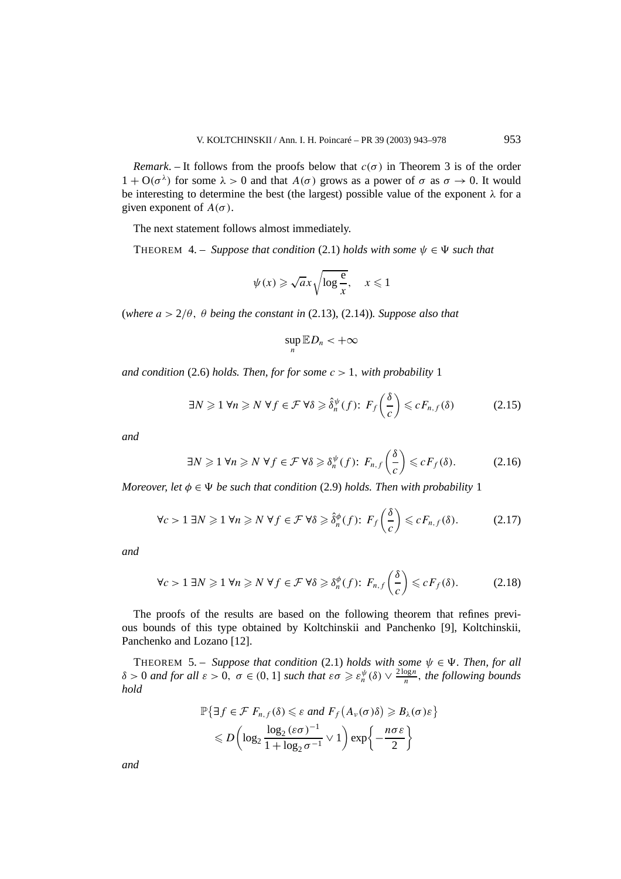*Remark.* – It follows from the proofs below that  $c(\sigma)$  in Theorem 3 is of the order  $1 + O(\sigma^{\lambda})$  for some  $\lambda > 0$  and that  $A(\sigma)$  grows as a power of  $\sigma$  as  $\sigma \to 0$ . It would be interesting to determine the best (the largest) possible value of the exponent  $\lambda$  for a given exponent of  $A(\sigma)$ .

The next statement follows almost immediately.

THEOREM 4. – *Suppose that condition* (2.1) *holds with some*  $\psi \in \Psi$  *such that* 

$$
\psi(x) \ge \sqrt{a}x \sqrt{\log \frac{e}{x}}, \quad x \le 1
$$

(*where a >* 2*/θ , θ being the constant in* (2.13), (2.14))*. Suppose also that*

$$
\sup_n \mathbb{E} D_n < +\infty
$$

*and condition* (2.6) *holds. Then, for for some*  $c > 1$ *, with probability* 1

$$
\exists N \geqslant 1 \,\forall n \geqslant N \,\forall f \in \mathcal{F} \,\forall \delta \geqslant \hat{\delta}_n^{\psi}(f) \colon \, F_f\left(\frac{\delta}{c}\right) \leqslant c \, F_{n,f}(\delta) \tag{2.15}
$$

*and*

$$
\exists N \geqslant 1 \,\forall n \geqslant N \,\forall f \in \mathcal{F} \,\forall \delta \geqslant \delta_n^{\psi}(f) \colon F_{n,f}\left(\frac{\delta}{c}\right) \leqslant c F_f(\delta). \tag{2.16}
$$

*Moreover, let*  $\phi \in \Psi$  *be such that condition* (2.9) *holds. Then with probability* 1

$$
\forall c > 1 \ \exists N \geqslant 1 \ \forall n \geqslant N \ \forall f \in \mathcal{F} \ \forall \delta \geqslant \hat{\delta}_n^{\phi}(f) \colon F_f\left(\frac{\delta}{c}\right) \leqslant c F_{n,f}(\delta). \tag{2.17}
$$

*and*

$$
\forall c > 1 \ \exists N \geqslant 1 \ \forall n \geqslant N \ \forall f \in \mathcal{F} \ \forall \delta \geqslant \delta_n^{\phi}(f) \colon F_{n,f}\left(\frac{\delta}{c}\right) \leqslant c F_f(\delta). \tag{2.18}
$$

The proofs of the results are based on the following theorem that refines previous bounds of this type obtained by Koltchinskii and Panchenko [9], Koltchinskii, Panchenko and Lozano [12].

THEOREM 5. – *Suppose that condition* (2.1) *holds with some*  $\psi \in \Psi$ *. Then, for all*  $\delta > 0$  *and for all*  $\varepsilon > 0$ ,  $\sigma \in (0, 1]$  *such that*  $\varepsilon \sigma \geqslant \varepsilon_n^{\psi}(\delta) \vee \frac{2 \log n}{n}$ , the following bounds *hold*

$$
\mathbb{P}\left\{\exists f \in \mathcal{F} \ F_{n,f}(\delta) \leq \varepsilon \text{ and } F_f\left(A_{\nu}(\sigma)\delta\right) \geq B_{\lambda}(\sigma)\varepsilon\right\} \leq D\left(\log_2 \frac{\log_2(\varepsilon\sigma)^{-1}}{1 + \log_2 \sigma^{-1}} \vee 1\right) \exp\left\{-\frac{n\sigma\varepsilon}{2}\right\}
$$

*and*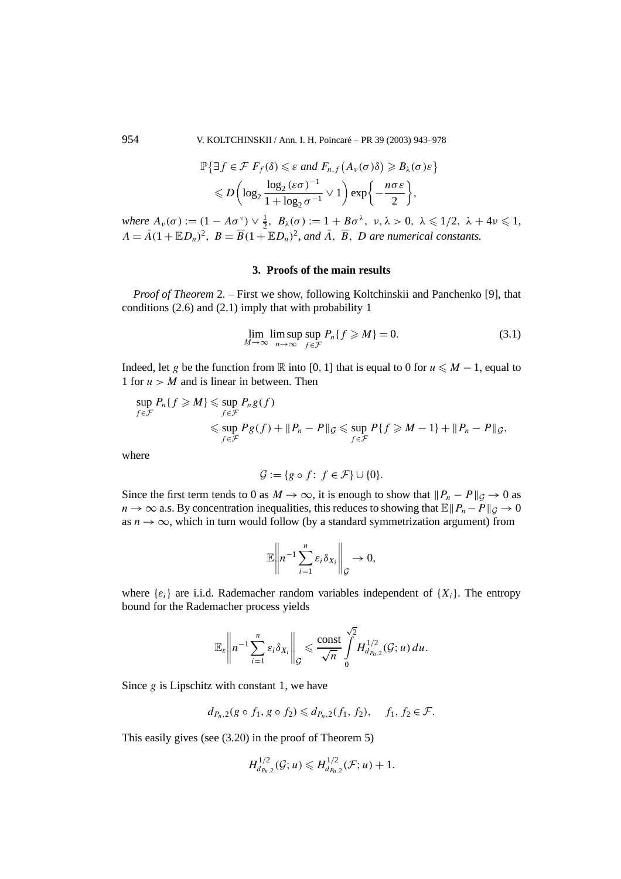954 V. KOLTCHINSKII / Ann. I. H. Poincaré – PR 39 (2003) 943–978

$$
\mathbb{P}\left\{\exists f \in \mathcal{F} \; F_f(\delta) \leq \varepsilon \; and \; F_{n,f}\left(A_v(\sigma)\delta\right) \geq B_\lambda(\sigma)\varepsilon\right\} \leq D\left(\log_2 \frac{\log_2(\varepsilon\sigma)^{-1}}{1+\log_2 \sigma^{-1}} \vee 1\right) \exp\left\{-\frac{n\sigma\varepsilon}{2}\right\},\,
$$

*where*  $A_{\nu}(\sigma) := (1 - A\sigma^{\nu}) \vee \frac{1}{2}$ ,  $B_{\lambda}(\sigma) := 1 + B\sigma^{\lambda}$ ,  $\nu, \lambda > 0$ ,  $\lambda \leq 1/2$ ,  $\lambda + 4\nu \leq 1$ ,  $A = \overline{A}(1 + \mathbb{E}D_n)^2$ ,  $B = \overline{B}(1 + \mathbb{E}D_n)^2$ , and  $\overline{A}$ ,  $\overline{B}$ ,  $D$  are numerical constants.

#### **3. Proofs of the main results**

*Proof of Theorem* 2*. –* First we show, following Koltchinskii and Panchenko [9], that conditions (2.6) and (2.1) imply that with probability 1

$$
\lim_{M \to \infty} \limsup_{n \to \infty} \sup_{f \in \mathcal{F}} P_n\{f \ge M\} = 0.
$$
\n(3.1)

Indeed, let *g* be the function from  $\mathbb R$  into [0, 1] that is equal to 0 for  $u \le M - 1$ , equal to 1 for  $u > M$  and is linear in between. Then

$$
\sup_{f \in \mathcal{F}} P_n\{f \ge M\} \le \sup_{f \in \mathcal{F}} P_n g(f)
$$
\n
$$
\le \sup_{f \in \mathcal{F}} P_g(f) + \|P_n - P\|_{\mathcal{G}} \le \sup_{f \in \mathcal{F}} P\{f \ge M - 1\} + \|P_n - P\|_{\mathcal{G}},
$$

where

$$
\mathcal{G} := \{ g \circ f : f \in \mathcal{F} \} \cup \{ 0 \}.
$$

Since the first term tends to 0 as  $M \to \infty$ , it is enough to show that  $||P_n - P||_{\mathcal{G}} \to 0$  as *n* → ∞ a.s. By concentration inequalities, this reduces to showing that  $\mathbb{E}||P_n - P||_{\mathcal{G}} \to 0$ as  $n \to \infty$ , which in turn would follow (by a standard symmetrization argument) from

$$
\mathbb{E}\bigg\|n^{-1}\sum_{i=1}^n \varepsilon_i\delta_{X_i}\bigg\|_{\mathcal{G}}\to 0,
$$

where  $\{\varepsilon_i\}$  are i.i.d. Rademacher random variables independent of  $\{X_i\}$ . The entropy bound for the Rademacher process yields

$$
\mathbb{E}_{\varepsilon}\left\|n^{-1}\sum_{i=1}^n \varepsilon_i \delta_{X_i}\right\|_{\mathcal{G}} \leq \frac{\mathrm{const}}{\sqrt{n}}\int\limits_{0}^{\sqrt{2}} H_{d_{P_n,2}}^{1/2}(\mathcal{G}; u) du.
$$

Since *g* is Lipschitz with constant 1, we have

$$
d_{P_n,2}(g \circ f_1, g \circ f_2) \leq d_{P_n,2}(f_1, f_2), \quad f_1, f_2 \in \mathcal{F}.
$$

This easily gives (see (3.20) in the proof of Theorem 5)

$$
H_{d_{P_n,2}}^{1/2}(\mathcal{G};u)\leq H_{d_{P_n,2}}^{1/2}(\mathcal{F};u)+1.
$$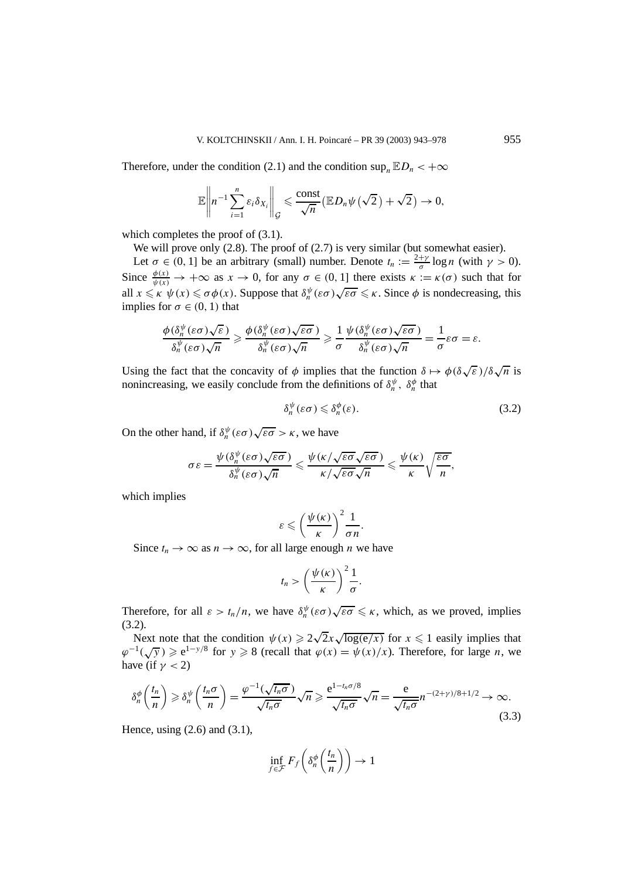Therefore, under the condition (2.1) and the condition  $\sup_n \mathbb{E} D_n < +\infty$ 

$$
\mathbb{E}\bigg\|n^{-1}\sum_{i=1}^n \varepsilon_i \delta_{X_i}\bigg\|_{\mathcal{G}} \leq \frac{\text{const}}{\sqrt{n}}\big(\mathbb{E} D_n \psi\big(\sqrt{2}\big)+\sqrt{2}\big) \to 0,
$$

which completes the proof of  $(3.1)$ .

We will prove only  $(2.8)$ . The proof of  $(2.7)$  is very similar (but somewhat easier).

Let  $\sigma \in (0, 1]$  be an arbitrary (small) number. Denote  $t_n := \frac{2+\gamma}{\sigma} \log n$  (with  $\gamma > 0$ ). Since  $\frac{\phi(x)}{\psi(x)} \to +\infty$  as  $x \to 0$ , for any  $\sigma \in (0, 1]$  there exists  $\kappa := \kappa(\sigma)$  such that for all  $x \le \kappa \psi(x) \le \sigma \phi(x)$ . Suppose that  $\delta_n^{\psi}(\varepsilon \sigma) \sqrt{\varepsilon \sigma} \le \kappa$ . Since  $\phi$  is nondecreasing, this implies for  $\sigma \in (0, 1)$  that

$$
\frac{\phi(\delta_n^{\psi}(\varepsilon\sigma)\sqrt{\varepsilon}\,)}{\delta_n^{\psi}(\varepsilon\sigma)\sqrt{n}} \geq \frac{\phi(\delta_n^{\psi}(\varepsilon\sigma)\sqrt{\varepsilon\sigma}\,)}{\delta_n^{\psi}(\varepsilon\sigma)\sqrt{n}} \geq \frac{1}{\sigma} \frac{\psi(\delta_n^{\psi}(\varepsilon\sigma)\sqrt{\varepsilon\sigma}\,)}{\delta_n^{\psi}(\varepsilon\sigma)\sqrt{n}} = \frac{1}{\sigma}\varepsilon\sigma = \varepsilon.
$$

Using the fact that the concavity of  $\phi$  implies that the function  $\delta \mapsto \phi(\delta \sqrt{\varepsilon})/\delta \sqrt{n}$  is nonincreasing, we easily conclude from the definitions of  $\delta_n^{\psi}$ ,  $\delta_n^{\phi}$  that

$$
\delta_n^{\psi}(\varepsilon \sigma) \leqslant \delta_n^{\phi}(\varepsilon). \tag{3.2}
$$

On the other hand, if  $\delta_n^{\psi}(\varepsilon \sigma) \sqrt{\varepsilon \sigma} > \kappa$ , we have

$$
\sigma \varepsilon = \frac{\psi(\delta_n^{\psi}(\varepsilon \sigma) \sqrt{\varepsilon \sigma})}{\delta_n^{\psi}(\varepsilon \sigma) \sqrt{n}} \leqslant \frac{\psi(\kappa/\sqrt{\varepsilon \sigma} \sqrt{\varepsilon \sigma})}{\kappa/\sqrt{\varepsilon \sigma} \sqrt{n}} \leqslant \frac{\psi(\kappa)}{\kappa} \sqrt{\frac{\varepsilon \sigma}{n}},
$$

which implies

$$
\varepsilon \leqslant \left(\frac{\psi(\kappa)}{\kappa}\right)^2 \frac{1}{\sigma n}.
$$

Since  $t_n \to \infty$  as  $n \to \infty$ , for all large enough *n* we have

$$
t_n > \left(\frac{\psi(\kappa)}{\kappa}\right)^2 \frac{1}{\sigma}.
$$

Therefore, for all  $\varepsilon > t_n/n$ , we have  $\delta_n^{\psi}(\varepsilon \sigma) \sqrt{\varepsilon \sigma} \leq \kappa$ , which, as we proved, implies (3.2).

2).<br>Next note that the condition  $\psi(x) \geq 2\sqrt{2}x\sqrt{\log(e/x)}$  for  $x \leq 1$  easily implies that  $\varphi^{-1}(\sqrt{y}) \ge e^{1-y/8}$  for  $y \ge 8$  (recall that  $\varphi(x) = \psi(x)/x$ ). Therefore, for large *n*, we have (if  $\gamma$  < 2)

$$
\delta_n^{\phi}\left(\frac{t_n}{n}\right) \geqslant \delta_n^{\psi}\left(\frac{t_n\sigma}{n}\right) = \frac{\varphi^{-1}(\sqrt{t_n\sigma})}{\sqrt{t_n\sigma}}\sqrt{n} \geqslant \frac{e^{1-t_n\sigma/8}}{\sqrt{t_n\sigma}}\sqrt{n} = \frac{e}{\sqrt{t_n\sigma}}n^{-(2+\gamma)/8+1/2} \to \infty.
$$
\n(3.3)

Hence, using  $(2.6)$  and  $(3.1)$ ,

$$
\inf_{f \in \mathcal{F}} F_f \left( \delta_n^{\phi} \left( \frac{t_n}{n} \right) \right) \to 1
$$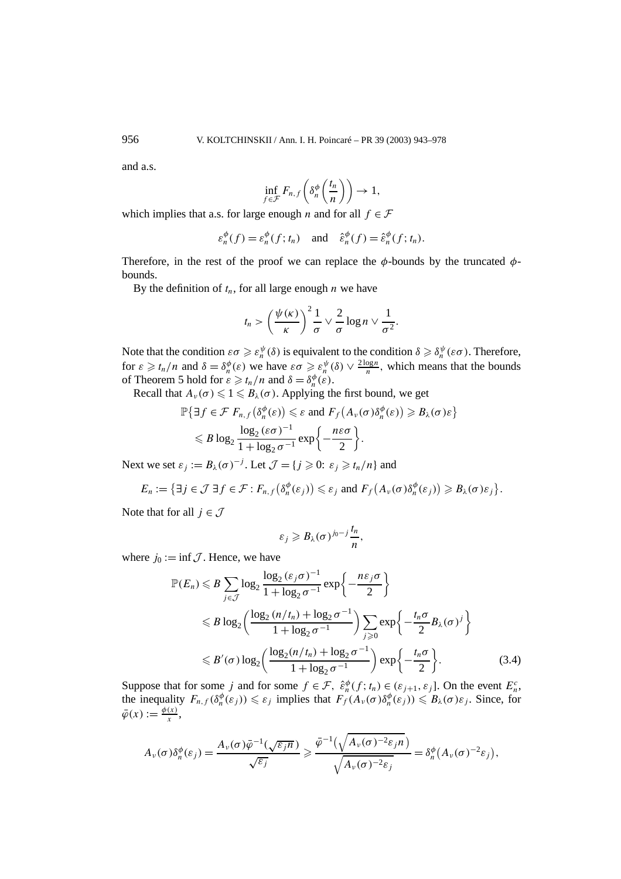and a.s.

$$
\inf_{f \in \mathcal{F}} F_{n,f}\left(\delta_n^{\phi}\left(\frac{t_n}{n}\right)\right) \to 1,
$$

which implies that a.s. for large enough *n* and for all  $f \in \mathcal{F}$ 

$$
\varepsilon_n^{\phi}(f) = \varepsilon_n^{\phi}(f; t_n)
$$
 and  $\hat{\varepsilon}_n^{\phi}(f) = \hat{\varepsilon}_n^{\phi}(f; t_n)$ .

Therefore, in the rest of the proof we can replace the *φ*-bounds by the truncated *φ*bounds.

By the definition of  $t_n$ , for all large enough  $n$  we have

$$
t_n > \left(\frac{\psi(\kappa)}{\kappa}\right)^2 \frac{1}{\sigma} \vee \frac{2}{\sigma} \log n \vee \frac{1}{\sigma^2}.
$$

Note that the condition  $\varepsilon\sigma \geq \varepsilon_n^{\psi}(\delta)$  is equivalent to the condition  $\delta \geq \delta_n^{\psi}(\varepsilon\sigma)$ . Therefore, for  $\varepsilon \geq t_n/n$  and  $\delta = \delta_n^{\phi}(\varepsilon)$  we have  $\varepsilon \sigma \geq \varepsilon_n^{\psi}(\delta) \vee \frac{2\log n}{n}$ , which means that the bounds of Theorem 5 hold for  $\varepsilon \geq t_n/n$  and  $\delta = \delta_n^{\phi}(\varepsilon)$ .

Recall that  $A_{\nu}(\sigma) \leq 1 \leq B_{\lambda}(\sigma)$ . Applying the first bound, we get

$$
\mathbb{P}\left\{\exists f \in \mathcal{F} \ F_{n,f}\left(\delta_n^{\phi}(\varepsilon)\right) \leq \varepsilon \text{ and } F_f\left(A_\nu(\sigma)\delta_n^{\phi}(\varepsilon)\right) \geq B_\lambda(\sigma)\varepsilon\right\} \leq B \log_2 \frac{\log_2(\varepsilon\sigma)^{-1}}{1 + \log_2 \sigma^{-1}} \exp\left\{-\frac{n\varepsilon\sigma}{2}\right\}.
$$

Next we set  $\varepsilon_j := B_\lambda(\sigma)^{-j}$ . Let  $\mathcal{J} = \{j \geq 0: \varepsilon_j \geq t_n/n\}$  and

$$
E_n := \{ \exists j \in \mathcal{J} \, \exists f \in \mathcal{F} : F_{n,f}(\delta_n^{\phi}(\varepsilon_j)) \leq \varepsilon_j \text{ and } F_f(A_\nu(\sigma)\delta_n^{\phi}(\varepsilon_j)) \geq B_\lambda(\sigma)\varepsilon_j \}.
$$

Note that for all  $j \in \mathcal{J}$ 

$$
\varepsilon_j\geqslant B_\lambda(\sigma)^{j_0-j}\frac{t_n}{n},
$$

where  $j_0 := \inf \mathcal{J}$ . Hence, we have

$$
\mathbb{P}(E_n) \leq B \sum_{j \in \mathcal{J}} \log_2 \frac{\log_2 (\varepsilon_j \sigma)^{-1}}{1 + \log_2 \sigma^{-1}} \exp\left\{-\frac{n\varepsilon_j \sigma}{2}\right\}
$$
  
\n
$$
\leq B \log_2 \left(\frac{\log_2 (n/t_n) + \log_2 \sigma^{-1}}{1 + \log_2 \sigma^{-1}}\right) \sum_{j \geq 0} \exp\left\{-\frac{t_n \sigma}{2} B_\lambda(\sigma)^j\right\}
$$
  
\n
$$
\leq B'(\sigma) \log_2 \left(\frac{\log_2 (n/t_n) + \log_2 \sigma^{-1}}{1 + \log_2 \sigma^{-1}}\right) \exp\left\{-\frac{t_n \sigma}{2}\right\}. \tag{3.4}
$$

Suppose that for some *j* and for some  $f \in \mathcal{F}$ ,  $\hat{\varepsilon}_n^{\phi}(f; t_n) \in (\varepsilon_{j+1}, \varepsilon_j]$ . On the event  $E_n^c$ , the inequality  $F_{n,f}(\delta_n^{\phi}(\varepsilon_j)) \leq \varepsilon_j$  implies that  $F_f(A_\nu(\sigma)\delta_n^{\phi}(\varepsilon_j)) \leq B_\lambda(\sigma)\varepsilon_j$ . Since, for  $\bar{\varphi}(x) := \frac{\phi(x)}{x},$ 

$$
A_{\nu}(\sigma)\delta_{n}^{\phi}(\varepsilon_{j})=\frac{A_{\nu}(\sigma)\bar{\varphi}^{-1}(\sqrt{\varepsilon_{j}n})}{\sqrt{\varepsilon_{j}}}\geqslant \frac{\bar{\varphi}^{-1}(\sqrt{A_{\nu}(\sigma)^{-2}\varepsilon_{j}n})}{\sqrt{A_{\nu}(\sigma)^{-2}\varepsilon_{j}}}= \delta_{n}^{\phi}\big(A_{\nu}(\sigma)^{-2}\varepsilon_{j}\big),
$$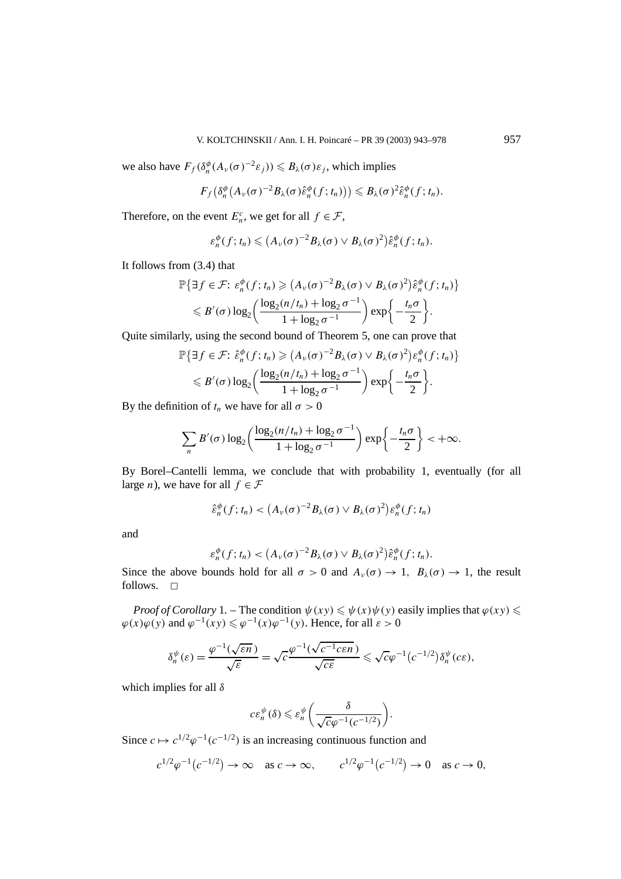we also have  $F_f(\delta_n^{\phi}(A_\nu(\sigma)^{-2}\varepsilon_j)) \leq B_\lambda(\sigma)\varepsilon_j$ , which implies

$$
F_f\big(\delta_n^{\phi}\big(A_v(\sigma)^{-2}B_\lambda(\sigma)\hat{\varepsilon}_n^{\phi}(f;t_n)\big)\big)\leq B_\lambda(\sigma)^2\hat{\varepsilon}_n^{\phi}(f;t_n).
$$

Therefore, on the event  $E_n^c$ , we get for all  $f \in \mathcal{F}$ ,

$$
\varepsilon_n^{\phi}(f; t_n) \leq (A_{\nu}(\sigma)^{-2} B_{\lambda}(\sigma) \vee B_{\lambda}(\sigma)^{2}) \hat{\varepsilon}_n^{\phi}(f; t_n).
$$

It follows from (3.4) that

$$
\mathbb{P}\left\{\exists f \in \mathcal{F}: \varepsilon_n^{\phi}(f; t_n) \geq (A_v(\sigma)^{-2}B_\lambda(\sigma) \vee B_\lambda(\sigma)^2)\hat{\varepsilon}_n^{\phi}(f; t_n)\right\}
$$
  
\$\leq B'(\sigma) \log\_2\left(\frac{\log\_2(n/t\_n) + \log\_2 \sigma^{-1}}{1 + \log\_2 \sigma^{-1}}\right) \exp\left\{-\frac{t\_n \sigma}{2}\right\}.

Quite similarly, using the second bound of Theorem 5, one can prove that

$$
\mathbb{P}\left\{\exists f \in \mathcal{F}: \hat{\varepsilon}_n^{\phi}(f; t_n) \geq (A_\nu(\sigma)^{-2}B_\lambda(\sigma) \vee B_\lambda(\sigma)^2) \varepsilon_n^{\phi}(f; t_n) \right\}
$$
  
\$\leq B'(\sigma) \log\_2 \left( \frac{\log\_2(n/t\_n) + \log\_2 \sigma^{-1}}{1 + \log\_2 \sigma^{-1}} \right) \exp \left\{-\frac{t\_n \sigma}{2}\right\}.

By the definition of  $t_n$  we have for all  $\sigma > 0$ 

$$
\sum_{n} B'(\sigma) \log_2 \left( \frac{\log_2 (n/t_n) + \log_2 \sigma^{-1}}{1 + \log_2 \sigma^{-1}} \right) \exp \left\{ -\frac{t_n \sigma}{2} \right\} < +\infty.
$$

By Borel–Cantelli lemma, we conclude that with probability 1, eventually (for all large *n*), we have for all  $f \in \mathcal{F}$ 

$$
\hat{\varepsilon}_n^{\phi}(f; t_n) < (A_\nu(\sigma)^{-2}B_\lambda(\sigma) \vee B_\lambda(\sigma)^2)\varepsilon_n^{\phi}(f; t_n)
$$

and

$$
\varepsilon_n^{\phi}(f; t_n) < (A_{\nu}(\sigma)^{-2}B_{\lambda}(\sigma) \vee B_{\lambda}(\sigma)^2)\hat{\varepsilon}_n^{\phi}(f; t_n).
$$

Since the above bounds hold for all  $\sigma > 0$  and  $A_{\nu}(\sigma) \to 1$ ,  $B_{\lambda}(\sigma) \to 1$ , the result follows.  $\square$ 

*Proof of Corollary* 1*.* – The condition  $\psi(xy) \leq \psi(x)\psi(y)$  easily implies that  $\varphi(xy) \leq \psi(x)\psi(y)$  $\varphi(x)\varphi(y)$  and  $\varphi^{-1}(xy) \leq \varphi^{-1}(x)\varphi^{-1}(y)$ . Hence, for all  $\varepsilon > 0$ 

$$
\delta_n^{\psi}(\varepsilon) = \frac{\varphi^{-1}(\sqrt{\varepsilon n})}{\sqrt{\varepsilon}} = \sqrt{c} \frac{\varphi^{-1}(\sqrt{c^{-1}c\varepsilon n})}{\sqrt{c\varepsilon}} \leq \sqrt{c}\varphi^{-1}(c^{-1/2})\delta_n^{\psi}(c\varepsilon),
$$

which implies for all *δ*

$$
c\varepsilon_n^{\psi}(\delta) \leqslant \varepsilon_n^{\psi}\bigg(\frac{\delta}{\sqrt{c}\varphi^{-1}(c^{-1/2})}\bigg).
$$

Since  $c \mapsto c^{1/2} \varphi^{-1} (c^{-1/2})$  is an increasing continuous function and

$$
c^{1/2}\varphi^{-1}(c^{-1/2}) \to \infty
$$
 as  $c \to \infty$ ,  $c^{1/2}\varphi^{-1}(c^{-1/2}) \to 0$  as  $c \to 0$ ,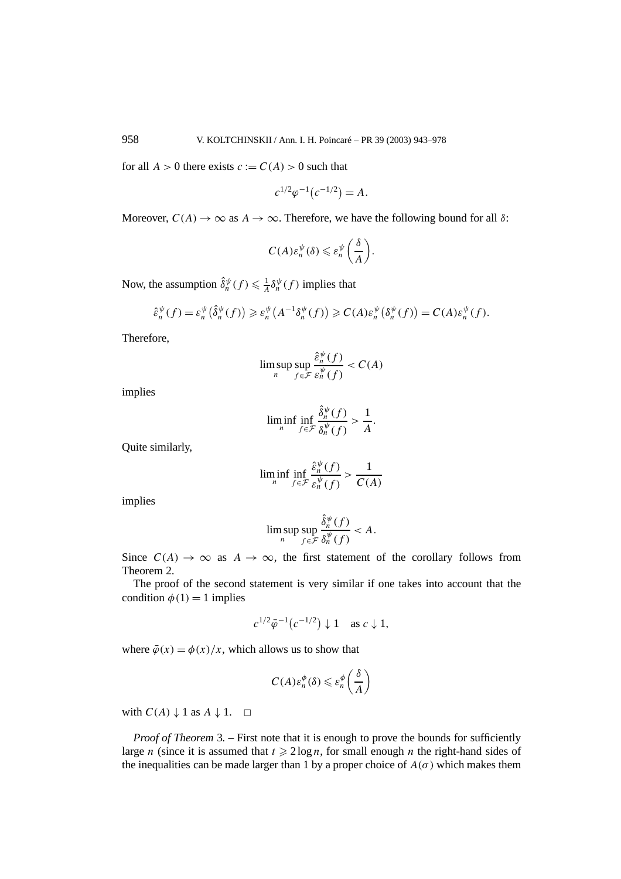for all  $A > 0$  there exists  $c := C(A) > 0$  such that

$$
c^{1/2}\varphi^{-1}(c^{-1/2}) = A.
$$

Moreover,  $C(A) \to \infty$  as  $A \to \infty$ . Therefore, we have the following bound for all  $\delta$ :

$$
C(A)\varepsilon_n^{\psi}(\delta) \leqslant \varepsilon_n^{\psi}\left(\frac{\delta}{A}\right).
$$

Now, the assumption  $\hat{\delta}_n^{\psi}(f) \leq \frac{1}{A} \delta_n^{\psi}(f)$  implies that

$$
\hat{\varepsilon}_n^{\psi}(f) = \varepsilon_n^{\psi}(\hat{\delta}_n^{\psi}(f)) \geq \varepsilon_n^{\psi}(A^{-1}\delta_n^{\psi}(f)) \geq C(A)\varepsilon_n^{\psi}(\delta_n^{\psi}(f)) = C(A)\varepsilon_n^{\psi}(f).
$$

Therefore,

$$
\limsup_{n} \sup_{f \in \mathcal{F}} \frac{\hat{\varepsilon}_n^{\psi}(f)}{\varepsilon_n^{\psi}(f)} < C(A)
$$

implies

$$
\liminf_{n} \inf_{f \in \mathcal{F}} \frac{\hat{\delta}_n^{\psi}(f)}{\delta_n^{\psi}(f)} > \frac{1}{A}.
$$

Quite similarly,

$$
\liminf_{n} \inf_{f \in \mathcal{F}} \frac{\hat{\varepsilon}_n^{\psi}(f)}{\varepsilon_n^{\psi}(f)} > \frac{1}{C(A)}
$$

implies

$$
\limsup_{n} \sup_{f \in \mathcal{F}} \frac{\hat{\delta}_n^{\psi}(f)}{\delta_n^{\psi}(f)} < A.
$$

Since  $C(A) \rightarrow \infty$  as  $A \rightarrow \infty$ , the first statement of the corollary follows from Theorem 2.

The proof of the second statement is very similar if one takes into account that the condition  $\phi(1) = 1$  implies

$$
c^{1/2}\bar{\varphi}^{-1}(c^{-1/2}) \downarrow 1
$$
 as  $c \downarrow 1$ ,

where  $\bar{\varphi}(x) = \phi(x)/x$ , which allows us to show that

$$
C(A)\varepsilon_n^{\phi}(\delta) \leqslant \varepsilon_n^{\phi}\left(\frac{\delta}{A}\right)
$$

with  $C(A) \downarrow 1$  as  $A \downarrow 1$ .  $\square$ 

*Proof of Theorem* 3. – First note that it is enough to prove the bounds for sufficiently large *n* (since it is assumed that  $t \ge 2 \log n$ , for small enough *n* the right-hand sides of the inequalities can be made larger than 1 by a proper choice of  $A(\sigma)$  which makes them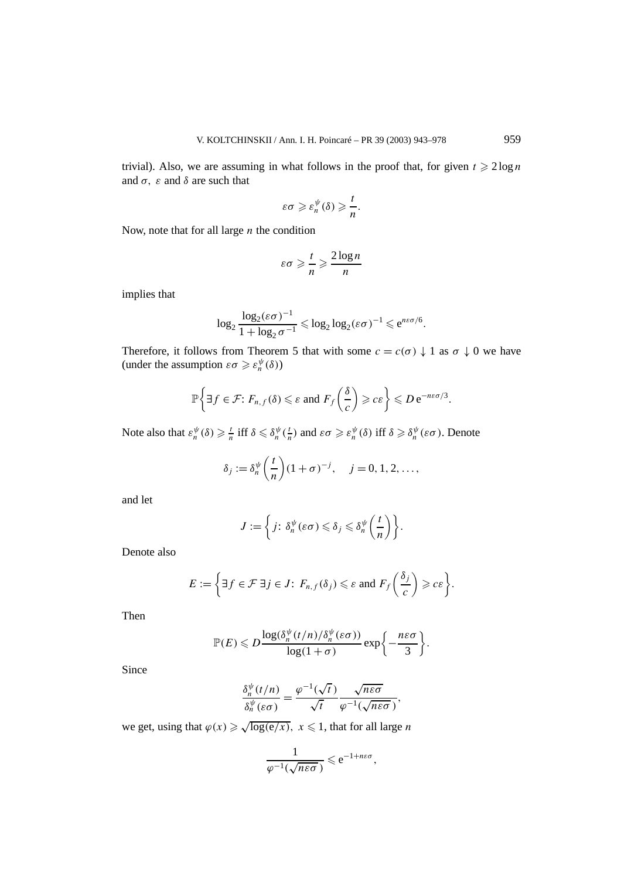trivial). Also, we are assuming in what follows in the proof that, for given  $t \geq 2 \log n$ and  $\sigma$ ,  $\varepsilon$  and  $\delta$  are such that

$$
\varepsilon\sigma\geqslant\varepsilon_n^{\psi}(\delta)\geqslant\frac{t}{n}.
$$

Now, note that for all large *n* the condition

$$
\varepsilon\sigma \geqslant \frac{t}{n} \geqslant \frac{2\log n}{n}
$$

implies that

$$
\log_2 \frac{\log_2(\varepsilon \sigma)^{-1}}{1 + \log_2 \sigma^{-1}} \leqslant \log_2 \log_2(\varepsilon \sigma)^{-1} \leqslant e^{n\varepsilon \sigma/6}.
$$

Therefore, it follows from Theorem 5 that with some  $c = c(\sigma) \downarrow 1$  as  $\sigma \downarrow 0$  we have (under the assumption  $\varepsilon \sigma \geqslant \varepsilon_n^{\psi}(\delta)$ )

$$
\mathbb{P}\bigg\{\exists f\in\mathcal{F}: F_{n,f}(\delta)\leqslant \varepsilon \text{ and } F_f\left(\frac{\delta}{c}\right)\geqslant c\varepsilon\bigg\}\leqslant D\,\mathrm{e}^{-n\varepsilon\sigma/3}.
$$

Note also that  $\varepsilon_n^{\psi}(\delta) \ge \frac{t}{n}$  iff  $\delta \le \delta_n^{\psi}(\frac{t}{n})$  and  $\varepsilon\sigma \ge \varepsilon_n^{\psi}(\delta)$  iff  $\delta \ge \delta_n^{\psi}(\varepsilon\sigma)$ . Denote

$$
\delta_j := \delta_n^{\psi} \left( \frac{t}{n} \right) (1 + \sigma)^{-j}, \quad j = 0, 1, 2, \dots,
$$

and let

$$
J := \left\{ j \colon \delta_n^{\psi}(\varepsilon \sigma) \leqslant \delta_j \leqslant \delta_n^{\psi} \left( \frac{t}{n} \right) \right\}.
$$

Denote also

$$
E := \left\{ \exists f \in \mathcal{F} \, \exists j \in J \colon F_{n,f}(\delta_j) \leq \varepsilon \text{ and } F_f\left(\frac{\delta_j}{c}\right) \geqslant c\varepsilon \right\}.
$$

Then

$$
\mathbb{P}(E) \leqslant D \frac{\log(\delta_n^{\psi}(t/n)/\delta_n^{\psi}(\varepsilon \sigma))}{\log(1+\sigma)} \exp\left\{-\frac{n\varepsilon \sigma}{3}\right\}.
$$

Since

$$
\frac{\delta_n^{\psi}(t/n)}{\delta_n^{\psi}(\varepsilon\sigma)} = \frac{\varphi^{-1}(\sqrt{t})}{\sqrt{t}} \frac{\sqrt{n\varepsilon\sigma}}{\varphi^{-1}(\sqrt{n\varepsilon\sigma})},
$$

we get, using that  $\varphi(x) \ge \sqrt{\log(e/x)}$ ,  $x \le 1$ , that for all large *n* 

$$
\frac{1}{\varphi^{-1}(\sqrt{n \varepsilon \sigma})} \leqslant e^{-1 + n \varepsilon \sigma},
$$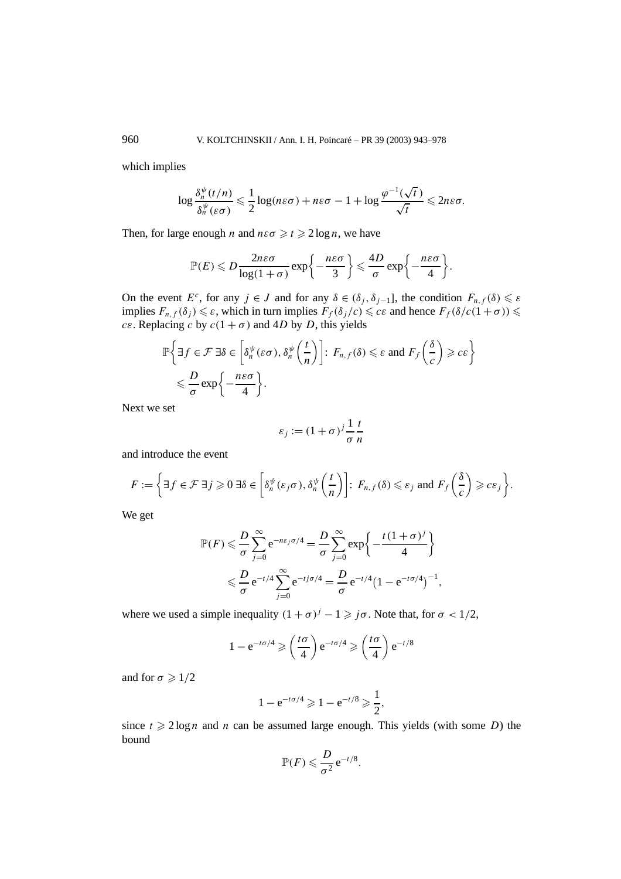which implies

$$
\log \frac{\delta_n^{\psi}(t/n)}{\delta_n^{\psi}(\varepsilon \sigma)} \leq \frac{1}{2} \log(n\varepsilon \sigma) + n\varepsilon \sigma - 1 + \log \frac{\varphi^{-1}(\sqrt{t})}{\sqrt{t}} \leq 2n\varepsilon \sigma.
$$

Then, for large enough *n* and  $n \in \mathcal{I} \geq 2 \log n$ , we have

$$
\mathbb{P}(E) \leq D \frac{2n\varepsilon\sigma}{\log(1+\sigma)} \exp\bigg\{-\frac{n\varepsilon\sigma}{3}\bigg\} \leq \frac{4D}{\sigma} \exp\bigg\{-\frac{n\varepsilon\sigma}{4}\bigg\}.
$$

On the event *E<sup>c</sup>*, for any *j*  $\in$  *J* and for any  $\delta \in (\delta_j, \delta_{j-1}]$ , the condition  $F_{n,f}(\delta) \leq \varepsilon$ implies  $F_{n,f}(\delta_j) \leq \varepsilon$ , which in turn implies  $F_f(\delta_j/c) \leq c\varepsilon$  and hence  $F_f(\delta/c(1+\sigma)) \leq$ *cε*. Replacing *c* by  $c(1 + \sigma)$  and 4*D* by *D*, this yields

$$
\mathbb{P}\left\{\exists f \in \mathcal{F} \exists \delta \in \left[\delta_n^{\psi}(\varepsilon \sigma), \delta_n^{\psi}\left(\frac{t}{n}\right)\right] : F_{n,f}(\delta) \leq \varepsilon \text{ and } F_f\left(\frac{\delta}{c}\right) \geq c\varepsilon\right\} \leq \frac{D}{\sigma} \exp\left\{-\frac{n\varepsilon \sigma}{4}\right\}.
$$

Next we set

$$
\varepsilon_j := (1+\sigma)^j \frac{1}{\sigma} \frac{t}{n}
$$

and introduce the event

$$
F := \left\{ \exists f \in \mathcal{F} \, \exists j \geqslant 0 \, \exists \delta \in \left[ \delta_n^{\psi}(\varepsilon_j \sigma), \delta_n^{\psi} \left( \frac{t}{n} \right) \right] : F_{n,f}(\delta) \leqslant \varepsilon_j \text{ and } F_f\left( \frac{\delta}{c} \right) \geqslant c\varepsilon_j \right\}.
$$

We get

$$
\mathbb{P}(F) \leq \frac{D}{\sigma} \sum_{j=0}^{\infty} e^{-n\varepsilon_j \sigma/4} = \frac{D}{\sigma} \sum_{j=0}^{\infty} \exp\left\{-\frac{t(1+\sigma)^j}{4}\right\}
$$

$$
\leq \frac{D}{\sigma} e^{-t/4} \sum_{j=0}^{\infty} e^{-tj\sigma/4} = \frac{D}{\sigma} e^{-t/4} (1 - e^{-t\sigma/4})^{-1},
$$

where we used a simple inequality  $(1 + \sigma)^j - 1 \geq j\sigma$ . Note that, for  $\sigma < 1/2$ ,

$$
1 - e^{-t\sigma/4} \geqslant \left(\frac{t\sigma}{4}\right) e^{-t\sigma/4} \geqslant \left(\frac{t\sigma}{4}\right) e^{-t/8}
$$

and for  $\sigma \geqslant 1/2$ 

$$
1 - e^{-t\sigma/4} \geq 1 - e^{-t/8} \geq \frac{1}{2},
$$

since  $t \geq 2 \log n$  and *n* can be assumed large enough. This yields (with some *D*) the bound

$$
\mathbb{P}(F) \leqslant \frac{D}{\sigma^2} e^{-t/8}.
$$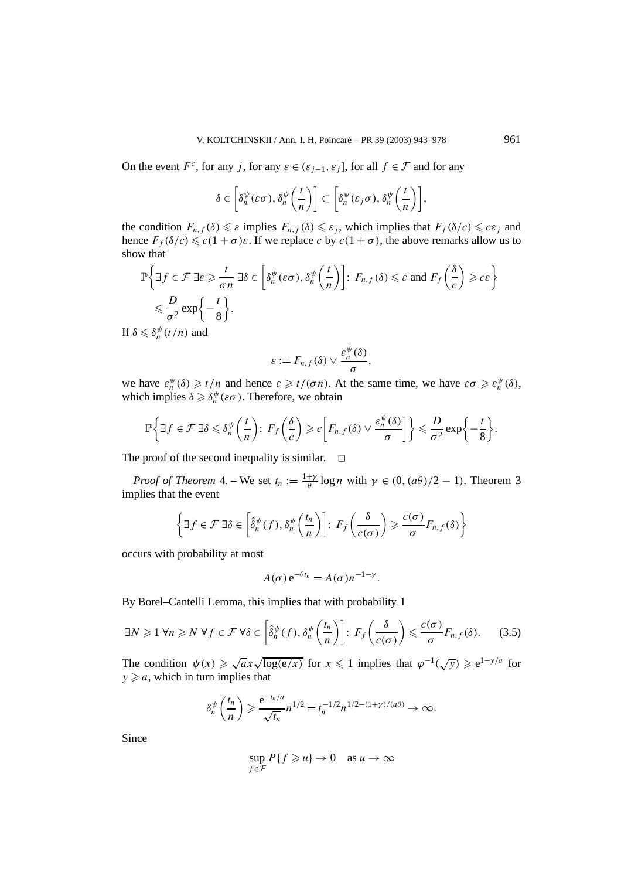On the event *F<sup>c</sup>*, for any *j*, for any  $\varepsilon \in (\varepsilon_{j-1}, \varepsilon_j]$ , for all  $f \in \mathcal{F}$  and for any

$$
\delta \in \left[\delta_n^{\psi}(\varepsilon \sigma), \delta_n^{\psi}\left(\frac{t}{n}\right)\right] \subset \left[\delta_n^{\psi}(\varepsilon_j \sigma), \delta_n^{\psi}\left(\frac{t}{n}\right)\right],
$$

the condition  $F_{n,f}(\delta) \leq \varepsilon$  implies  $F_{n,f}(\delta) \leq \varepsilon_j$ , which implies that  $F_f(\delta/c) \leq c\varepsilon_j$  and hence  $F_f(\delta/c) \leq c(1 + \sigma)\varepsilon$ . If we replace *c* by  $c(1 + \sigma)$ , the above remarks allow us to show that

$$
\mathbb{P}\left\{\exists f \in \mathcal{F} \exists \varepsilon \geq \frac{t}{\sigma n} \exists \delta \in \left[\delta_n^{\psi}(\varepsilon \sigma), \delta_n^{\psi}\left(\frac{t}{n}\right)\right] : F_{n,f}(\delta) \leq \varepsilon \text{ and } F_f\left(\frac{\delta}{c}\right) \geq c\varepsilon\right\}
$$
  

$$
\leq \frac{D}{\sigma^2} \exp\left\{-\frac{t}{8}\right\}.
$$

If  $\delta \leqslant \delta_n^{\psi}(t/n)$  and

$$
\varepsilon := F_{n,f}(\delta) \vee \frac{\varepsilon_n^{\psi}(\delta)}{\sigma},
$$

we have  $\varepsilon_n^{\psi}(\delta) \geq t/n$  and hence  $\varepsilon \geq t/(\sigma n)$ . At the same time, we have  $\varepsilon \sigma \geq \varepsilon_n^{\psi}(\delta)$ , which implies  $\delta \geq \delta_n^{\psi}(\varepsilon \sigma)$ . Therefore, we obtain

$$
\mathbb{P}\bigg\{\exists f\in\mathcal{F}\,\exists\delta\leqslant\delta_n^{\psi}\left(\frac{t}{n}\right):\,F_f\left(\frac{\delta}{c}\right)\geqslant c\bigg[F_{n,f}(\delta)\vee\frac{\varepsilon_n^{\psi}(\delta)}{\sigma}\bigg]\bigg\}\leqslant\frac{D}{\sigma^2}\exp\bigg\{-\frac{t}{8}\bigg\}.
$$

The proof of the second inequality is similar.  $\Box$ 

*Proof of Theorem* 4*.* – We set  $t_n := \frac{1+\gamma}{\theta} \log n$  with  $\gamma \in (0, (a\theta)/2 - 1)$ . Theorem 3 implies that the event

$$
\left\{\exists f \in \mathcal{F} \, \exists \delta \in \left[\hat{\delta}_n^{\psi}(f), \delta_n^{\psi}\left(\frac{t_n}{n}\right)\right] : \, F_f\left(\frac{\delta}{c(\sigma)}\right) \geq \frac{c(\sigma)}{\sigma} F_{n,f}(\delta) \right\}
$$

occurs with probability at most

$$
A(\sigma) e^{-\theta t_n} = A(\sigma) n^{-1-\gamma}.
$$

By Borel–Cantelli Lemma, this implies that with probability 1

$$
\exists N \geqslant 1 \,\forall n \geqslant N \,\forall f \in \mathcal{F} \,\forall \delta \in \left[\hat{\delta}_n^{\psi}(f), \delta_n^{\psi}\left(\frac{t_n}{n}\right)\right] : \, F_f\left(\frac{\delta}{c(\sigma)}\right) \leqslant \frac{c(\sigma)}{\sigma} F_{n,f}(\delta). \tag{3.5}
$$

The condition  $\psi(x) \geqslant \sqrt{ax} \sqrt{\log(e/x)}$  for  $x \leqslant 1$  implies that  $\varphi^{-1}(\sqrt{y}) \geqslant e^{1-y/a}$  for  $y \ge a$ , which in turn implies that

$$
\delta_n^{\psi}\left(\frac{t_n}{n}\right) \geqslant \frac{e^{-t_n/a}}{\sqrt{t_n}} n^{1/2} = t_n^{-1/2} n^{1/2 - (1+\gamma)/(a\theta)} \to \infty.
$$

Since

$$
\sup_{f \in \mathcal{F}} P\{f \ge u\} \to 0 \quad \text{as } u \to \infty
$$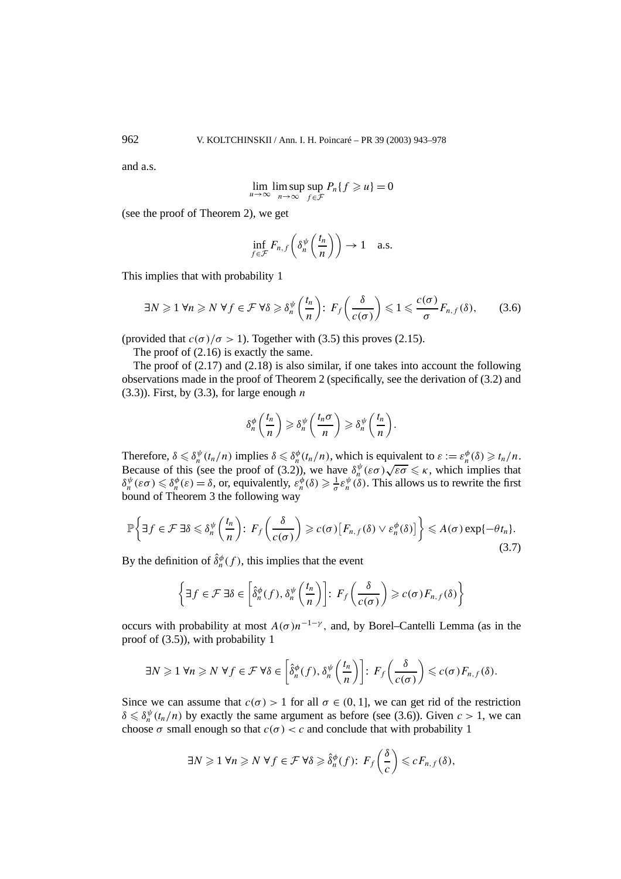and a.s.

$$
\lim_{u \to \infty} \limsup_{n \to \infty} \sup_{f \in \mathcal{F}} P_n\{f \geq u\} = 0
$$

(see the proof of Theorem 2), we get

$$
\inf_{f \in \mathcal{F}} F_{n,f}\left(\delta_n^{\psi}\left(\frac{t_n}{n}\right)\right) \to 1 \quad \text{a.s.}
$$

This implies that with probability 1

$$
\exists N \geqslant 1 \,\forall n \geqslant N \,\forall f \in \mathcal{F} \,\forall \delta \geqslant \delta_n^{\psi} \left( \frac{t_n}{n} \right) : \, F_f \left( \frac{\delta}{c(\sigma)} \right) \leqslant 1 \leqslant \frac{c(\sigma)}{\sigma} F_{n,f}(\delta), \tag{3.6}
$$

(provided that  $c(\sigma)/\sigma > 1$ ). Together with (3.5) this proves (2.15).

The proof of (2.16) is exactly the same.

The proof of (2.17) and (2.18) is also similar, if one takes into account the following observations made in the proof of Theorem 2 (specifically, see the derivation of (3.2) and (3.3)). First, by (3.3), for large enough *n*

$$
\delta_n^{\phi}\left(\frac{t_n}{n}\right) \geqslant \delta_n^{\psi}\left(\frac{t_n\sigma}{n}\right) \geqslant \delta_n^{\psi}\left(\frac{t_n}{n}\right).
$$

Therefore,  $\delta \leq \delta_n^{\psi}(t_n/n)$  implies  $\delta \leq \delta_n^{\phi}(t_n/n)$ , which is equivalent to  $\varepsilon := \varepsilon_n^{\phi}(\delta) \geq t_n/n$ . Because of this (see the proof of (3.2)), we have  $\delta_n^{\psi}(\varepsilon\sigma)\sqrt{\varepsilon\sigma} \leq \kappa$ , which implies that that  $\delta_n^{\psi}(\varepsilon\sigma)\sqrt{\varepsilon\sigma} \leq \kappa$ .  $\delta_n^{\psi}(\varepsilon\sigma) \leq \delta_n^{\phi}(\varepsilon) = \delta$ , or, equivalently,  $\varepsilon_n^{\phi}(\delta) \geq \frac{1}{\sigma} \varepsilon_n^{\psi}(\delta)$ . This allows us to rewrite the first bound of Theorem 3 the following way

$$
\mathbb{P}\bigg\{\exists f \in \mathcal{F} \, \exists \delta \leqslant \delta_n^{\psi}\left(\frac{t_n}{n}\right): \, F_f\left(\frac{\delta}{c(\sigma)}\right) \geqslant c(\sigma)\big[F_{n,f}(\delta) \vee \varepsilon_n^{\phi}(\delta)\big]\bigg\} \leqslant A(\sigma) \exp\{-\theta t_n\}.\tag{3.7}
$$

By the definition of  $\hat{\delta}_n^{\phi}(f)$ , this implies that the event

$$
\left\{\exists f \in \mathcal{F} \, \exists \delta \in \left[\hat{\delta}_n^{\phi}(f), \delta_n^{\psi}\left(\frac{t_n}{n}\right)\right] : \, F_f\left(\frac{\delta}{c(\sigma)}\right) \geqslant c(\sigma) F_{n,f}(\delta) \right\}
$$

occurs with probability at most  $A(\sigma)n^{-1-\gamma}$ , and, by Borel–Cantelli Lemma (as in the proof of (3.5)), with probability 1

$$
\exists N \geqslant 1 \,\forall n \geqslant N \,\forall f \in \mathcal{F} \,\forall \delta \in \left[\hat{\delta}_n^{\phi}(f), \delta_n^{\psi}\left(\frac{t_n}{n}\right)\right]:\,F_f\left(\frac{\delta}{c(\sigma)}\right) \leqslant c(\sigma)F_{n,f}(\delta).
$$

Since we can assume that  $c(\sigma) > 1$  for all  $\sigma \in (0, 1]$ , we can get rid of the restriction  $\delta \leq \delta_n^{\psi}(t_n/n)$  by exactly the same argument as before (see (3.6)). Given  $c > 1$ , we can choose  $\sigma$  small enough so that  $c(\sigma) < c$  and conclude that with probability 1

$$
\exists N \geqslant 1 \,\forall n \geqslant N \,\forall f \in \mathcal{F} \,\forall \delta \geqslant \hat{\delta}_n^{\phi}(f): \, F_f\left(\frac{\delta}{c}\right) \leqslant c \, F_{n,f}(\delta),
$$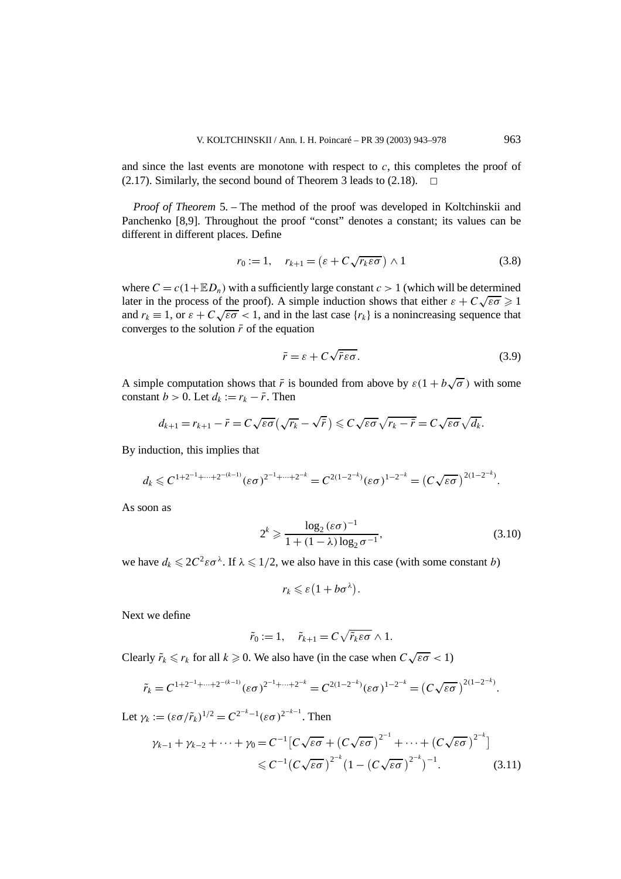and since the last events are monotone with respect to *c*, this completes the proof of (2.17). Similarly, the second bound of Theorem 3 leads to (2.18).  $\Box$ 

*Proof of Theorem* 5*. –* The method of the proof was developed in Koltchinskii and Panchenko [8,9]. Throughout the proof "const" denotes a constant; its values can be different in different places. Define

$$
r_0 := 1, \quad r_{k+1} = \left(\varepsilon + C\sqrt{r_k \varepsilon \sigma}\right) \wedge 1 \tag{3.8}
$$

where  $C = c(1 + \mathbb{E}D_n)$  with a sufficiently large constant  $c > 1$  (which will be determined where  $C = C(1 + E D_n)$  with a sufficiently large constant  $c > 1$  (which will be determined<br>later in the process of the proof). A simple induction shows that either  $\varepsilon + C\sqrt{\varepsilon \sigma} \ge 1$ and  $r_k \equiv 1$ , or  $\varepsilon + C\sqrt{\varepsilon \sigma} < 1$ , and in the last case  $\{r_k\}$  is a nonincreasing sequence that converges to the solution  $\bar{r}$  of the equation

$$
\bar{r} = \varepsilon + C\sqrt{\bar{r}\varepsilon\sigma}.
$$
\n(3.9)

A simple computation shows that  $\bar{r}$  is bounded from above by  $\varepsilon(1 + b\sqrt{\sigma})$  with some constant *b* > 0. Let  $d_k := r_k - \bar{r}$ . Then

$$
d_{k+1} = r_{k+1} - \bar{r} = C\sqrt{\varepsilon \sigma} \left( \sqrt{r_k} - \sqrt{\bar{r}} \right) \leqslant C\sqrt{\varepsilon \sigma} \sqrt{r_k - \bar{r}} = C\sqrt{\varepsilon \sigma} \sqrt{d_k}.
$$

By induction, this implies that

$$
d_k \leq C^{1+2^{-1}+\cdots+2^{-(k-1)}} (\varepsilon \sigma)^{2^{-1}+\cdots+2^{-k}} = C^{2(1-2^{-k})} (\varepsilon \sigma)^{1-2^{-k}} = (C \sqrt{\varepsilon \sigma})^{2(1-2^{-k})}.
$$

As soon as

$$
2^{k} \geqslant \frac{\log_2(\varepsilon \sigma)^{-1}}{1 + (1 - \lambda) \log_2 \sigma^{-1}},\tag{3.10}
$$

we have  $d_k \leq 2C^2 \varepsilon \sigma^{\lambda}$ . If  $\lambda \leq 1/2$ , we also have in this case (with some constant *b*)

$$
r_k \leqslant \varepsilon \left(1 + b \sigma^{\lambda}\right).
$$

Next we define

$$
\tilde{r}_0 := 1, \quad \tilde{r}_{k+1} = C\sqrt{\tilde{r}_k \varepsilon \sigma} \wedge 1.
$$

Clearly  $\tilde{r}_k \le r_k$  for all  $k \ge 0$ . We also have (in the case when  $C \sqrt{\varepsilon \sigma} < 1$ )

$$
\tilde{r}_k = C^{1+2^{-1}+\cdots+2^{-(k-1)}} (\varepsilon \sigma)^{2^{-1}+\cdots+2^{-k}} = C^{2(1-2^{-k})} (\varepsilon \sigma)^{1-2^{-k}} = (C \sqrt{\varepsilon \sigma})^{2(1-2^{-k})}.
$$

Let  $\gamma_k := (\varepsilon \sigma / \tilde{r}_k)^{1/2} = C^{2^{-k}-1} (\varepsilon \sigma)^{2^{-k-1}}$ . Then

$$
\gamma_{k-1} + \gamma_{k-2} + \dots + \gamma_0 = C^{-1} \left[ C \sqrt{\varepsilon \sigma} + \left( C \sqrt{\varepsilon \sigma} \right)^{2^{-1}} + \dots + \left( C \sqrt{\varepsilon \sigma} \right)^{2^{-k}} \right] \leq C^{-1} \left( C \sqrt{\varepsilon \sigma} \right)^{2^{-k}} \left( 1 - \left( C \sqrt{\varepsilon \sigma} \right)^{2^{-k}} \right)^{-1} . \tag{3.11}
$$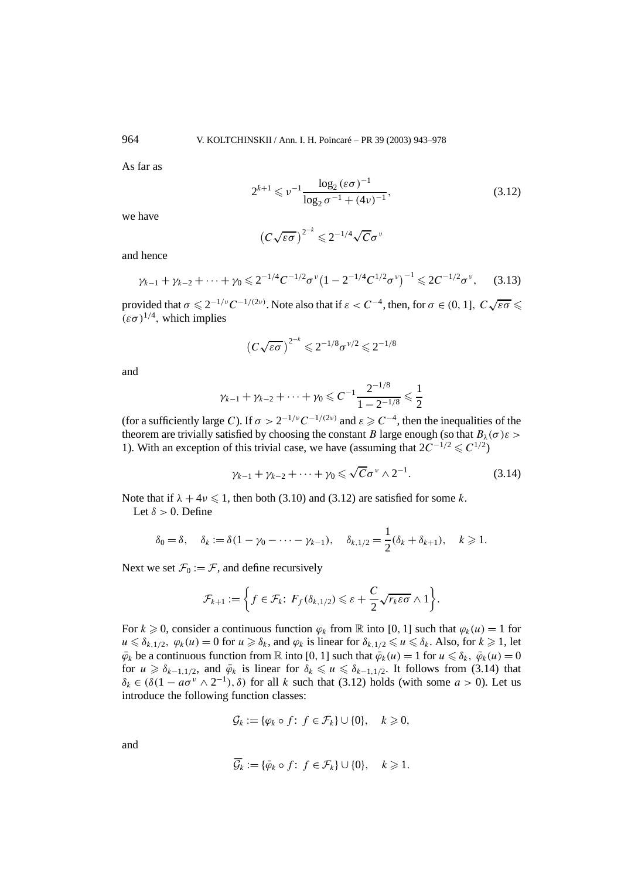As far as

$$
2^{k+1} \leq v^{-1} \frac{\log_2(\varepsilon \sigma)^{-1}}{\log_2 \sigma^{-1} + (4v)^{-1}},
$$
\n(3.12)

we have

$$
\left(C\sqrt{\varepsilon\sigma}\,\right)^{2^{-k}}\leqslant 2^{-1/4}\sqrt{C}\sigma^{\nu}
$$

and hence

$$
\gamma_{k-1} + \gamma_{k-2} + \dots + \gamma_0 \leq 2^{-1/4} C^{-1/2} \sigma^{\nu} (1 - 2^{-1/4} C^{1/2} \sigma^{\nu})^{-1} \leq 2 C^{-1/2} \sigma^{\nu}, \qquad (3.13)
$$

provided that  $\sigma \le 2^{-1/\nu}C^{-1/(2\nu)}$ . Note also that if  $\varepsilon < C^{-4}$ , then, for  $\sigma \in (0, 1]$ ,  $C\sqrt{\varepsilon \sigma} \le$  $(\varepsilon \sigma)^{1/4}$ , which implies

$$
\left(C\sqrt{\varepsilon\sigma}\,\right)^{2^{-k}}\leqslant 2^{-1/8}\sigma^{\nu/2}\leqslant 2^{-1/8}
$$

and

$$
\gamma_{k-1} + \gamma_{k-2} + \cdots + \gamma_0 \leq C^{-1} \frac{2^{-1/8}}{1 - 2^{-1/8}} \leq \frac{1}{2}
$$

(for a sufficiently large *C*). If  $\sigma > 2^{-1/\nu}C^{-1/(2\nu)}$  and  $\varepsilon \geq C^{-4}$ , then the inequalities of the theorem are trivially satisfied by choosing the constant *B* large enough (so that  $B_\lambda(\sigma)\varepsilon$ ) 1). With an exception of this trivial case, we have (assuming that  $2C^{-1/2}$  ≤  $C^{1/2}$ )

$$
\gamma_{k-1} + \gamma_{k-2} + \cdots + \gamma_0 \leqslant \sqrt{C} \sigma^{\nu} \wedge 2^{-1}.
$$
 (3.14)

Note that if  $\lambda + 4\nu \le 1$ , then both (3.10) and (3.12) are satisfied for some *k*.

Let  $\delta > 0$ . Define

$$
\delta_0 = \delta
$$
,  $\delta_k := \delta(1 - \gamma_0 - \dots - \gamma_{k-1})$ ,  $\delta_{k,1/2} = \frac{1}{2}(\delta_k + \delta_{k+1})$ ,  $k \ge 1$ .

Next we set  $\mathcal{F}_0 := \mathcal{F}$ , and define recursively

$$
\mathcal{F}_{k+1} := \bigg\{ f \in \mathcal{F}_k \colon F_f(\delta_{k,1/2}) \leqslant \varepsilon + \frac{C}{2} \sqrt{r_k \varepsilon \sigma} \wedge 1 \bigg\}.
$$

For  $k \geq 0$ , consider a continuous function  $\varphi_k$  from R into [0, 1] such that  $\varphi_k(u) = 1$  for  $u \leq \delta_{k,1/2}$ ,  $\varphi_k(u) = 0$  for  $u \geq \delta_k$ , and  $\varphi_k$  is linear for  $\delta_{k,1/2} \leq u \leq \delta_k$ . Also, for  $k \geq 1$ , let  $\bar{\varphi}_k$  be a continuous function from R into [0, 1] such that  $\bar{\varphi}_k(u) = 1$  for  $u \leq \delta_k$ ,  $\bar{\varphi}_k(u) = 0$ for  $u \geq \delta_{k-1,1/2}$ , and  $\bar{\varphi}_k$  is linear for  $\delta_k \leq u \leq \delta_{k-1,1/2}$ . It follows from (3.14) that  $\delta_k \in (\delta(1 - a\sigma^{\nu} \wedge 2^{-1}), \delta)$  for all *k* such that (3.12) holds (with some *a* > 0). Let us introduce the following function classes:

$$
\mathcal{G}_k := \{ \varphi_k \circ f : f \in \mathcal{F}_k \} \cup \{ 0 \}, \quad k \geqslant 0,
$$

and

$$
\overline{\mathcal{G}}_k := \{ \overline{\varphi}_k \circ f : f \in \mathcal{F}_k \} \cup \{0\}, \quad k \geq 1.
$$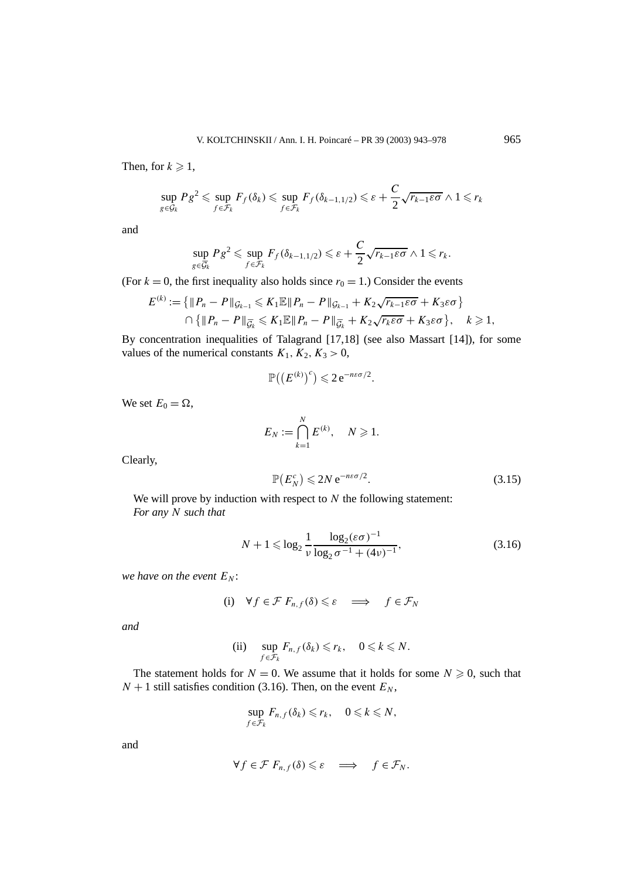Then, for  $k \geqslant 1$ ,

$$
\sup_{g \in \mathcal{G}_k} P g^2 \leq \sup_{f \in \mathcal{F}_k} F_f(\delta_k) \leq \sup_{f \in \mathcal{F}_k} F_f(\delta_{k-1,1/2}) \leq \varepsilon + \frac{C}{2} \sqrt{r_{k-1} \varepsilon \sigma} \wedge 1 \leq r_k
$$

and

$$
\sup_{g\in \overline{\mathcal{G}}_k} P g^2 \leq \sup_{f\in \mathcal{F}_k} F_f(\delta_{k-1,1/2}) \leq \varepsilon + \frac{C}{2} \sqrt{r_{k-1} \varepsilon \sigma} \wedge 1 \leq r_k.
$$

(For  $k = 0$ , the first inequality also holds since  $r_0 = 1$ .) Consider the events

$$
E^{(k)} := \{ || P_n - P ||_{\mathcal{G}_{k-1}} \leqslant K_1 \mathbb{E} || P_n - P ||_{\mathcal{G}_{k-1}} + K_2 \sqrt{r_{k-1} \varepsilon \sigma} + K_3 \varepsilon \sigma \}
$$
  

$$
\cap \{ || P_n - P ||_{\overline{\mathcal{G}}_k} \leqslant K_1 \mathbb{E} || P_n - P ||_{\overline{\mathcal{G}}_k} + K_2 \sqrt{r_k \varepsilon \sigma} + K_3 \varepsilon \sigma \}, \quad k \geqslant 1,
$$

By concentration inequalities of Talagrand [17,18] (see also Massart [14]), for some values of the numerical constants  $K_1, K_2, K_3 > 0$ ,

$$
\mathbb{P}((E^{(k)})^c) \leq 2e^{-n\varepsilon\sigma/2}.
$$

We set  $E_0 = \Omega$ ,

$$
E_N := \bigcap_{k=1}^N E^{(k)}, \quad N \geqslant 1.
$$

Clearly,

$$
\mathbb{P}(E_N^c) \leq 2N e^{-n\varepsilon \sigma/2}.
$$
 (3.15)

We will prove by induction with respect to *N* the following statement: *For any N such that*

$$
N + 1 \le \log_2 \frac{1}{\nu} \frac{\log_2(\varepsilon \sigma)^{-1}}{\log_2 \sigma^{-1} + (4\nu)^{-1}},
$$
\n(3.16)

*we have on the event*  $E_N$ :

(i) 
$$
\forall f \in \mathcal{F}
$$
  $F_{n,f}(\delta) \leq \varepsilon \implies f \in \mathcal{F}_N$ 

*and*

(ii) 
$$
\sup_{f \in \mathcal{F}_k} F_{n,f}(\delta_k) \leq r_k, \quad 0 \leq k \leq N.
$$

The statement holds for  $N = 0$ . We assume that it holds for some  $N \geq 0$ , such that  $N + 1$  still satisfies condition (3.16). Then, on the event  $E_N$ ,

$$
\sup_{f\in\mathcal{F}_k} F_{n,f}(\delta_k) \leqslant r_k, \quad 0\leqslant k\leqslant N,
$$

and

$$
\forall f \in \mathcal{F} \ F_{n,f}(\delta) \leqslant \varepsilon \quad \Longrightarrow \quad f \in \mathcal{F}_N.
$$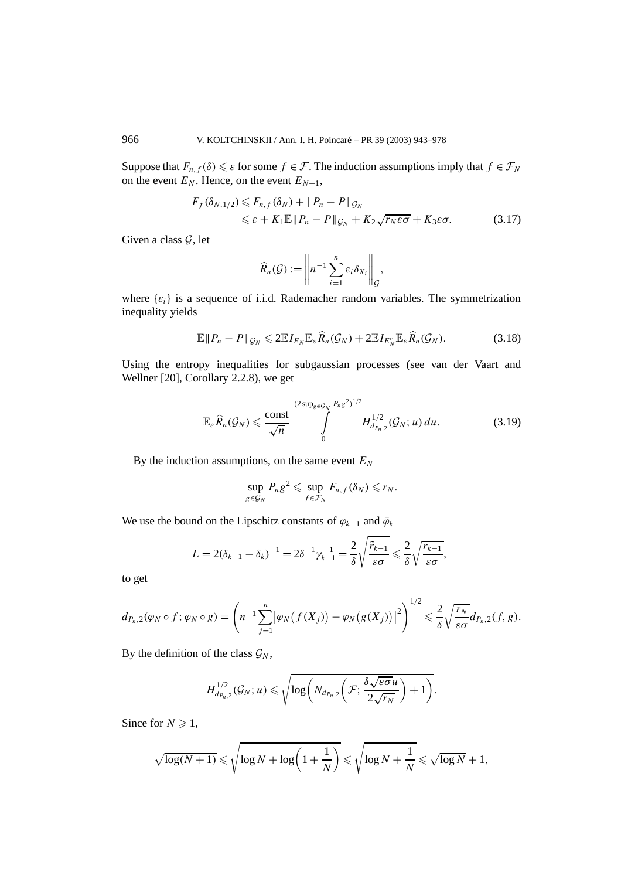Suppose that  $F_{n,f}(\delta) \leq \varepsilon$  for some  $f \in \mathcal{F}$ . The induction assumptions imply that  $f \in \mathcal{F}_N$ on the event  $E_N$ . Hence, on the event  $E_{N+1}$ ,

$$
F_f(\delta_{N,1/2}) \leq F_{n,f}(\delta_N) + ||P_n - P||_{\mathcal{G}_N}
$$
  
\$\leq \varepsilon + K\_1 \mathbb{E} ||P\_n - P||\_{\mathcal{G}\_N} + K\_2 \sqrt{r\_N \varepsilon \sigma} + K\_3 \varepsilon \sigma. \qquad (3.17)\$

Given a class  $G$ , let

$$
\widehat{R}_n(\mathcal{G}) := \left\| n^{-1} \sum_{i=1}^n \varepsilon_i \delta_{X_i} \right\|_{\mathcal{G}},
$$

where  $\{\varepsilon_i\}$  is a sequence of i.i.d. Rademacher random variables. The symmetrization inequality yields

$$
\mathbb{E} \|P_n - P\|_{\mathcal{G}_N} \leqslant 2 \mathbb{E} I_{E_N} \mathbb{E}_\varepsilon \widehat{R}_n(\mathcal{G}_N) + 2 \mathbb{E} I_{E_N^c} \mathbb{E}_\varepsilon \widehat{R}_n(\mathcal{G}_N). \tag{3.18}
$$

Using the entropy inequalities for subgaussian processes (see van der Vaart and Wellner [20], Corollary 2.2.8), we get

$$
\mathbb{E}_{\varepsilon}\widehat{R}_n(\mathcal{G}_N) \leqslant \frac{\text{const}}{\sqrt{n}} \int\limits_{0}^{(2\sup_{g\in\mathcal{G}_N} P_n g^2)^{1/2}} H_{d_{P_n,2}}^{1/2}(\mathcal{G}_N; u) du. \tag{3.19}
$$

By the induction assumptions, on the same event *EN*

$$
\sup_{g\in\mathcal{G}_N} P_n g^2 \leq \sup_{f\in\mathcal{F}_N} F_{n,f}(\delta_N) \leq r_N.
$$

We use the bound on the Lipschitz constants of  $\varphi_{k-1}$  and  $\bar{\varphi}_k$ 

$$
L = 2(\delta_{k-1} - \delta_k)^{-1} = 2\delta^{-1}\gamma_{k-1}^{-1} = \frac{2}{\delta}\sqrt{\frac{\tilde{r}_{k-1}}{\varepsilon\sigma}} \leqslant \frac{2}{\delta}\sqrt{\frac{r_{k-1}}{\varepsilon\sigma}},
$$

to get

$$
d_{P_n,2}(\varphi_N\circ f;\varphi_N\circ g)=\left(n^{-1}\sum_{j=1}^n\bigl|\varphi_N\bigl(f(X_j)\bigr)-\varphi_N\bigl(g(X_j)\bigr)\bigr|^2\right)^{1/2}\leqslant\frac{2}{\delta}\sqrt{\frac{r_N}{\varepsilon\sigma}}d_{P_n,2}(f,g).
$$

By the definition of the class  $\mathcal{G}_N$ ,

$$
H_{d_{P_n,2}}^{1/2}(\mathcal{G}_N; u) \leqslant \sqrt{\log\bigg(N_{d_{P_n,2}}\bigg(\mathcal{F}; \frac{\delta \sqrt{\varepsilon \sigma u}}{2\sqrt{r_N}}\bigg)+1\bigg)}.
$$

Since for  $N \geq 1$ ,

$$
\sqrt{\log(N+1)} \leqslant \sqrt{\log N + \log\left(1 + \frac{1}{N}\right)} \leqslant \sqrt{\log N + \frac{1}{N}} \leqslant \sqrt{\log N} + 1,
$$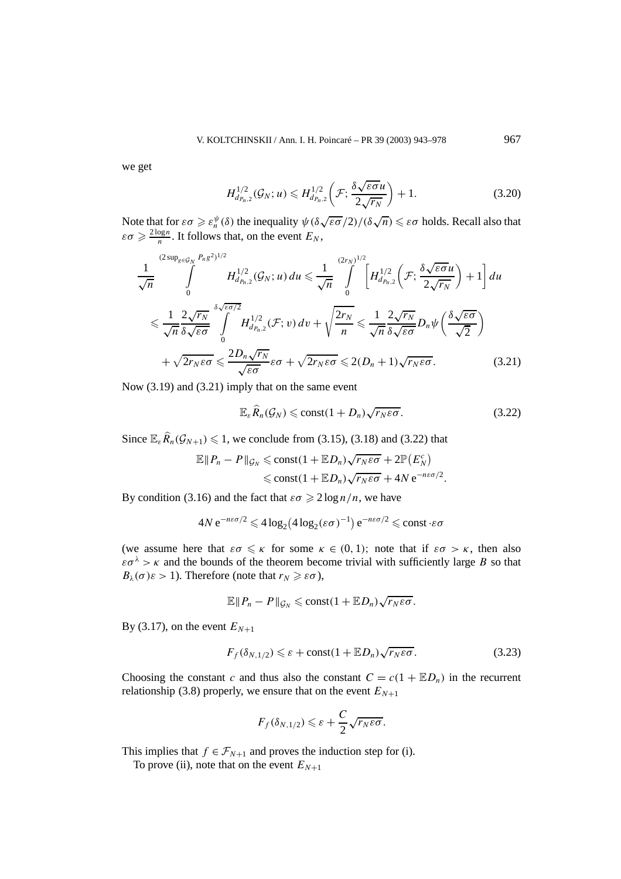we get

$$
H_{d_{P_n,2}}^{1/2}(\mathcal{G}_N; u) \le H_{d_{P_n,2}}^{1/2} \left(\mathcal{F}; \frac{\delta \sqrt{\varepsilon \sigma} u}{2\sqrt{r_N}}\right) + 1. \tag{3.20}
$$

Note that for  $\varepsilon\sigma \geqslant \varepsilon_n^{\psi}(\delta)$  the inequality  $\psi(\delta\sqrt{\varepsilon\sigma}/2)/(\delta\sqrt{n}) \leqslant \varepsilon\sigma$  holds. Recall also that  $\varepsilon \sigma \geqslant \frac{2 \log n}{n}$ . It follows that, on the event  $E_N$ ,

$$
\frac{1}{\sqrt{n}} \int_{0}^{(2\sup_{g\in\mathcal{G}_N} P_n g^2)^{1/2}} H_{d_{P_n,2}}^{1/2}(\mathcal{G}_N; u) du \leq \frac{1}{\sqrt{n}} \int_{0}^{(2r_N)^{1/2}} \left[ H_{d_{P_n,2}}^{1/2} \left( \mathcal{F}; \frac{\delta \sqrt{\varepsilon \sigma} u}{2 \sqrt{r_N}} \right) + 1 \right] du
$$
  

$$
\leq \frac{1}{\sqrt{n}} \frac{2\sqrt{r_N}}{\delta \sqrt{\varepsilon \sigma}} \int_{0}^{\delta \sqrt{\varepsilon \sigma}/2} H_{d_{P_n,2}}^{1/2}(\mathcal{F}; v) dv + \sqrt{\frac{2r_N}{n}} \leq \frac{1}{\sqrt{n}} \frac{2\sqrt{r_N}}{\delta \sqrt{\varepsilon \sigma}} D_n \psi \left( \frac{\delta \sqrt{\varepsilon \sigma}}{\sqrt{2}} \right)
$$

$$
+ \sqrt{2r_N \varepsilon \sigma} \leq \frac{2D_n \sqrt{r_N}}{\sqrt{\varepsilon \sigma}} \varepsilon \sigma + \sqrt{2r_N \varepsilon \sigma} \leq 2(D_n + 1) \sqrt{r_N \varepsilon \sigma}.
$$
(3.21)

Now (3.19) and (3.21) imply that on the same event

$$
\mathbb{E}_{\varepsilon}\widehat{R}_n(\mathcal{G}_N) \leqslant \text{const}(1+D_n)\sqrt{r_N \varepsilon\sigma}.
$$
\n(3.22)

Since  $\mathbb{E}_{\varepsilon} \widehat{R}_n(\mathcal{G}_{N+1}) \leq 1$ , we conclude from (3.15), (3.18) and (3.22) that

$$
\mathbb{E} \|P_n - P\|_{\mathcal{G}_N} \le \text{const}(1 + \mathbb{E} D_n) \sqrt{r_N \varepsilon \sigma} + 2 \mathbb{P}(E_N^c)
$$
  

$$
\le \text{const}(1 + \mathbb{E} D_n) \sqrt{r_N \varepsilon \sigma} + 4N e^{-n \varepsilon \sigma/2}.
$$

By condition (3.16) and the fact that  $\varepsilon \sigma \geqslant 2 \log n/n$ , we have

$$
4N e^{-n\varepsilon\sigma/2} \leq 4\log_2(4\log_2(\varepsilon\sigma)^{-1}) e^{-n\varepsilon\sigma/2} \leq \text{const}\cdot\varepsilon\sigma
$$

(we assume here that  $\varepsilon \sigma \leq \kappa$  for some  $\kappa \in (0, 1)$ ; note that if  $\varepsilon \sigma > \kappa$ , then also  $\epsilon \sigma^{\lambda} > \kappa$  and the bounds of the theorem become trivial with sufficiently large *B* so that  $B_{\lambda}(\sigma)\varepsilon > 1$ ). Therefore (note that  $r_N \geqslant \varepsilon \sigma$ ),

$$
\mathbb{E} \|P_n - P\|_{\mathcal{G}_N} \leqslant \text{const}(1 + \mathbb{E} D_n) \sqrt{r_N \varepsilon \sigma}.
$$

By (3.17), on the event  $E_{N+1}$ 

$$
F_f(\delta_{N,1/2}) \leq \varepsilon + \text{const}(1 + \mathbb{E}D_n)\sqrt{r_N\varepsilon\sigma}.
$$
 (3.23)

Choosing the constant *c* and thus also the constant  $C = c(1 + \mathbb{E}D_n)$  in the recurrent relationship (3.8) properly, we ensure that on the event  $E_{N+1}$ 

$$
F_f(\delta_{N,1/2}) \leq \varepsilon + \frac{C}{2} \sqrt{r_N \varepsilon \sigma}.
$$

This implies that  $f \in \mathcal{F}_{N+1}$  and proves the induction step for (i).

To prove (ii), note that on the event  $E_{N+1}$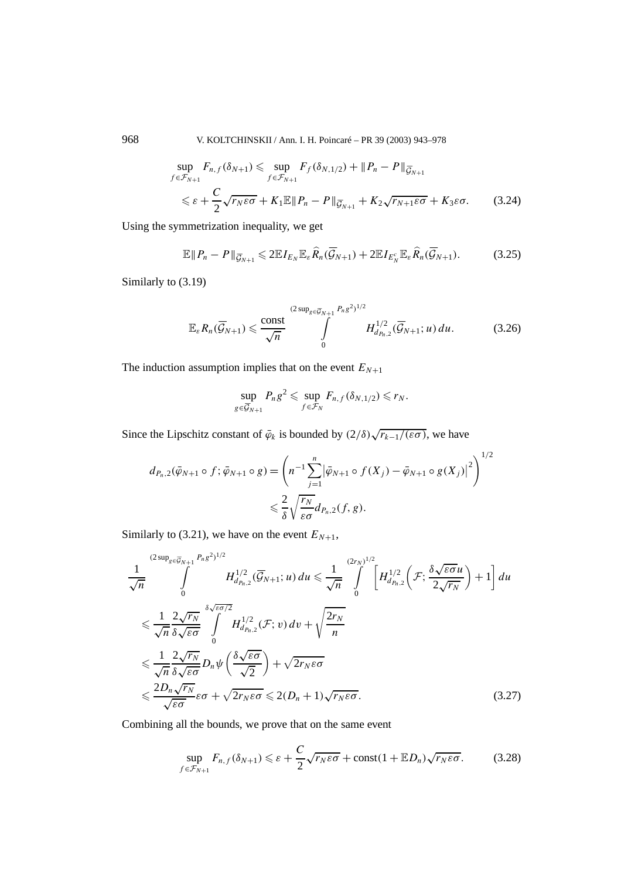968 V. KOLTCHINSKII / Ann. I. H. Poincaré – PR 39 (2003) 943–978

$$
\sup_{f \in \mathcal{F}_{N+1}} F_{n,f}(\delta_{N+1}) \leq \sup_{f \in \mathcal{F}_{N+1}} F_f(\delta_{N,1/2}) + ||P_n - P||_{\overline{\mathcal{G}}_{N+1}}
$$
  

$$
\leq \varepsilon + \frac{C}{2} \sqrt{r_N \varepsilon \sigma} + K_1 \mathbb{E} ||P_n - P||_{\overline{\mathcal{G}}_{N+1}} + K_2 \sqrt{r_{N+1} \varepsilon \sigma} + K_3 \varepsilon \sigma. \tag{3.24}
$$

Using the symmetrization inequality, we get

$$
\mathbb{E} \|P_n - P\|_{\overline{\mathcal{G}}_{N+1}} \leq 2 \mathbb{E} I_{E_N} \mathbb{E}_{\varepsilon} \widehat{R}_n(\overline{\mathcal{G}}_{N+1}) + 2 \mathbb{E} I_{E_N^c} \mathbb{E}_{\varepsilon} \widehat{R}_n(\overline{\mathcal{G}}_{N+1}). \tag{3.25}
$$

Similarly to (3.19)

$$
\mathbb{E}_{\varepsilon} R_n(\overline{\mathcal{G}}_{N+1}) \leq \frac{\text{const}}{\sqrt{n}} \int\limits_{0}^{(2\sup_{g\in\overline{\mathcal{G}}_{N+1}} P_n g^2)^{1/2}} H_{d_{P_n,2}}^{1/2}(\overline{\mathcal{G}}_{N+1}; u) du. \tag{3.26}
$$

The induction assumption implies that on the event  $E_{N+1}$ 

$$
\sup_{g \in \overline{\mathcal{G}}_{N+1}} P_n g^2 \leqslant \sup_{f \in \mathcal{F}_N} F_{n,f}(\delta_{N,1/2}) \leqslant r_N.
$$

Since the Lipschitz constant of  $\bar{\varphi}_k$  is bounded by  $(2/\delta)\sqrt{r_{k-1}/(\varepsilon \sigma)}$ , we have

$$
d_{P_n,2}(\bar{\varphi}_{N+1} \circ f; \bar{\varphi}_{N+1} \circ g) = \left( n^{-1} \sum_{j=1}^n |\bar{\varphi}_{N+1} \circ f(X_j) - \bar{\varphi}_{N+1} \circ g(X_j) |^2 \right)^{1/2}
$$
  

$$
\leq \frac{2}{\delta} \sqrt{\frac{r_N}{\varepsilon \sigma}} d_{P_n,2}(f,g).
$$

Similarly to (3.21), we have on the event  $E_{N+1}$ ,

$$
\frac{1}{\sqrt{n}} \int_{0}^{(2\sup_{g\in\overline{G}_{N+1}} P_n g^2)^{1/2}} H_{d_{P_n,2}}^{1/2}(\overline{G}_{N+1}; u) du \le \frac{1}{\sqrt{n}} \int_{0}^{(2r_N)^{1/2}} \left[H_{d_{P_n,2}}^{1/2}\left(\mathcal{F}; \frac{\delta \sqrt{\varepsilon \sigma} u}{2\sqrt{r_N}}\right) + 1\right] du
$$
  

$$
\le \frac{1}{\sqrt{n}} \frac{2\sqrt{r_N}}{\delta \sqrt{\varepsilon \sigma}} \int_{0}^{\delta \sqrt{\varepsilon \sigma}/2} H_{d_{P_n,2}}^{1/2}(\mathcal{F}; v) dv + \sqrt{\frac{2r_N}{n}}
$$
  

$$
\le \frac{1}{\sqrt{n}} \frac{2\sqrt{r_N}}{\delta \sqrt{\varepsilon \sigma}} D_n \psi \left(\frac{\delta \sqrt{\varepsilon \sigma}}{\sqrt{2}}\right) + \sqrt{2r_N \varepsilon \sigma}
$$
  

$$
\le \frac{2D_n \sqrt{r_N}}{\sqrt{\varepsilon \sigma}} \varepsilon \sigma + \sqrt{2r_N \varepsilon \sigma} \le 2(D_n + 1) \sqrt{r_N \varepsilon \sigma}.
$$
 (3.27)

Combining all the bounds, we prove that on the same event

$$
\sup_{f \in \mathcal{F}_{N+1}} F_{n,f}(\delta_{N+1}) \leqslant \varepsilon + \frac{C}{2} \sqrt{r_N \varepsilon \sigma} + \text{const}(1 + \mathbb{E} D_n) \sqrt{r_N \varepsilon \sigma}.
$$
 (3.28)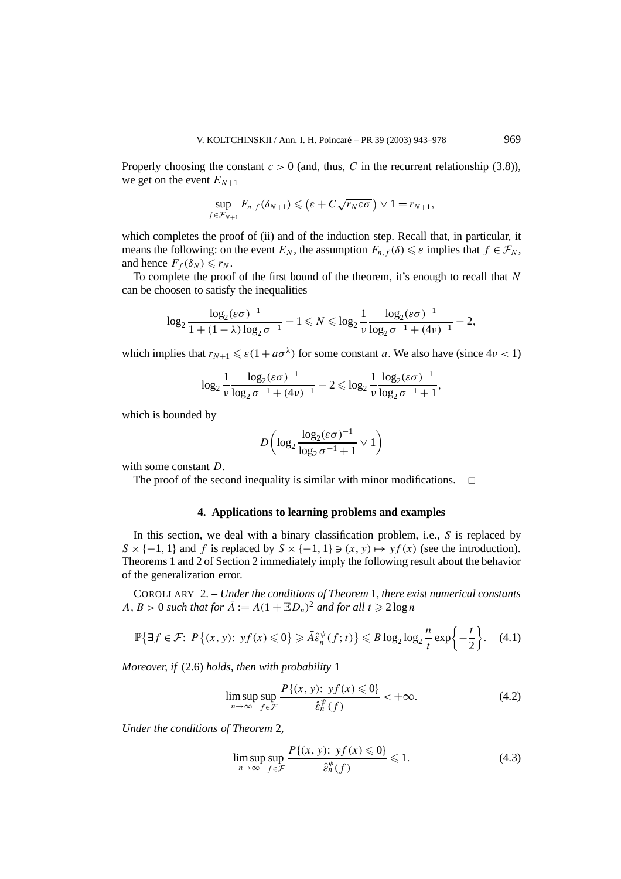Properly choosing the constant  $c > 0$  (and, thus, *C* in the recurrent relationship (3.8)), we get on the event  $E_{N+1}$ 

$$
\sup_{f \in \mathcal{F}_{N+1}} F_{n,f}(\delta_{N+1}) \leqslant (\varepsilon + C\sqrt{r_N \varepsilon \sigma}) \vee 1 = r_{N+1},
$$

which completes the proof of (ii) and of the induction step. Recall that, in particular, it means the following: on the event  $E_N$ , the assumption  $F_{n,f}(\delta) \leq \varepsilon$  implies that  $f \in \mathcal{F}_N$ , and hence  $F_f(\delta_N) \le r_N$ .

To complete the proof of the first bound of the theorem, it's enough to recall that *N* can be choosen to satisfy the inequalities

$$
\log_2 \frac{\log_2(\varepsilon \sigma)^{-1}}{1 + (1 - \lambda) \log_2 \sigma^{-1}} - 1 \leq N \leq \log_2 \frac{1}{\nu} \frac{\log_2(\varepsilon \sigma)^{-1}}{\log_2 \sigma^{-1} + (4\nu)^{-1}} - 2,
$$

which implies that  $r_{N+1} \leq \varepsilon(1 + a\sigma^{\lambda})$  for some constant *a*. We also have (since  $4\nu < 1$ )

$$
\log_2 \frac{1}{\nu} \frac{\log_2(\varepsilon \sigma)^{-1}}{\log_2 \sigma^{-1} + (4\nu)^{-1}} - 2 \leq \log_2 \frac{1}{\nu} \frac{\log_2(\varepsilon \sigma)^{-1}}{\log_2 \sigma^{-1} + 1},
$$

which is bounded by

$$
D\bigg(\log_2\frac{\log_2(\varepsilon\sigma)^{-1}}{\log_2\sigma^{-1}+1}\vee 1\bigg)
$$

with some constant *D*.

The proof of the second inequality is similar with minor modifications.  $\Box$ 

## **4. Applications to learning problems and examples**

In this section, we deal with a binary classification problem, i.e., *S* is replaced by  $S \times \{-1, 1\}$  and *f* is replaced by  $S \times \{-1, 1\} \ni (x, y) \mapsto yf(x)$  (see the introduction). Theorems 1 and 2 of Section 2 immediately imply the following result about the behavior of the generalization error.

COROLLARY 2. – *Under the conditions of Theorem* 1*, there exist numerical constants A*, *B* > 0 *such that for*  $\overline{A} := A(1 + \mathbb{E}D_n)^2$  *and for all*  $t \ge 2 \log n$ 

$$
\mathbb{P}\{\exists f \in \mathcal{F}: \ P\{(x, y): \ yf(x) \leq 0\} \geq \bar{A}\hat{\varepsilon}_n^{\psi}(f; t)\} \leq B\log_2\log_2\frac{n}{t}\exp\left\{-\frac{t}{2}\right\}.\tag{4.1}
$$

*Moreover, if* (2.6) *holds, then with probability* 1

$$
\limsup_{n \to \infty} \sup_{f \in \mathcal{F}} \frac{P\{(x, y): yf(x) \le 0\}}{\hat{\varepsilon}_n^{\psi}(f)} < +\infty.
$$
 (4.2)

*Under the conditions of Theorem* 2*,*

$$
\limsup_{n \to \infty} \sup_{f \in \mathcal{F}} \frac{P\{(x, y) : yf(x) \le 0\}}{\hat{\varepsilon}_n^{\phi}(f)} \le 1.
$$
\n(4.3)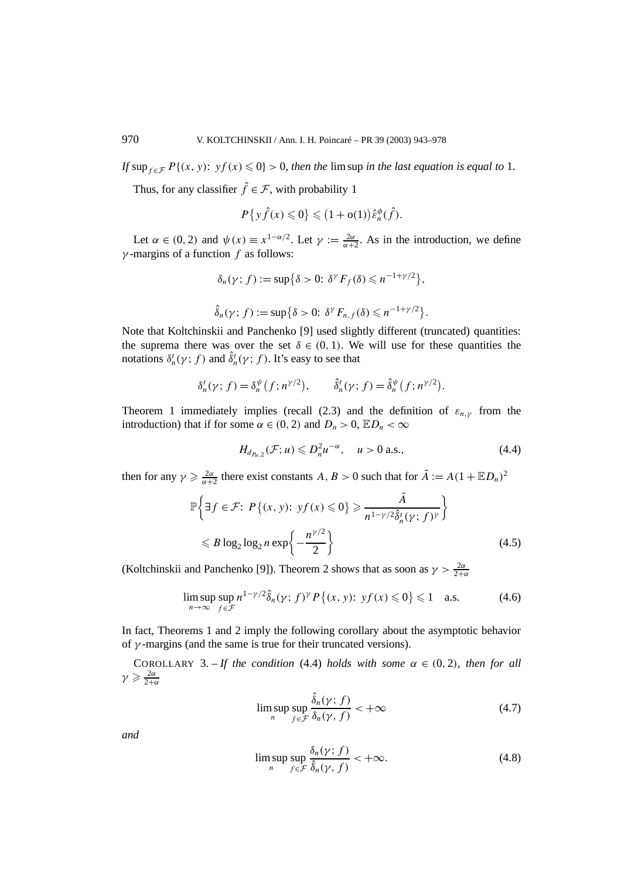*If* sup<sub>*f* ∈  $\mathcal{F}$ </sub>  $P$ { $(x, y)$ :  $y f(x) \le 0$ } > 0*, then the lim sup in the last equation is equal to* 1*.* 

Thus, for any classifier  $\hat{f} \in \mathcal{F}$ , with probability 1

$$
P\{y\hat{f}(x)\leq 0\} \leq (1+\mathrm{o}(1))\hat{\varepsilon}_n^{\phi}(\hat{f}).
$$

Let  $\alpha \in (0, 2)$  and  $\psi(x) \equiv x^{1-\alpha/2}$ . Let  $\gamma := \frac{2\alpha}{\alpha+2}$ . As in the introduction, we define *γ* -margins of a function *f* as follows:

$$
\delta_n(\gamma; f) := \sup \{ \delta > 0 : \delta^{\gamma} F_f(\delta) \le n^{-1 + \gamma/2} \},
$$
  

$$
\delta_n(\gamma; f) := \sup \{ \delta > 0 : \delta^{\gamma} F_{n, f}(\delta) \le n^{-1 + \gamma/2} \}.
$$

Note that Koltchinskii and Panchenko [9] used slightly different (truncated) quantities: the suprema there was over the set  $\delta \in (0, 1)$ . We will use for these quantities the notations  $\delta_n^t(\gamma; f)$  and  $\hat{\delta}_n^t(\gamma; f)$ . It's easy to see that

$$
\delta_n^t(\gamma; f) = \delta_n^{\psi}(f; n^{\gamma/2}), \qquad \hat{\delta}_n^t(\gamma; f) = \hat{\delta}_n^{\psi}(f; n^{\gamma/2}).
$$

Theorem 1 immediately implies (recall (2.3) and the definition of  $\varepsilon_{n,y}$  from the introduction) that if for some  $\alpha \in (0, 2)$  and  $D_n > 0$ ,  $\mathbb{E}D_n < \infty$ 

$$
H_{d_{P_n,2}}(\mathcal{F};u)\leqslant D_n^2u^{-\alpha},\quad u>0\text{ a.s.},\qquad(4.4)
$$

then for any  $\gamma \ge \frac{2\alpha}{\alpha+2}$  there exist constants *A*, *B* > 0 such that for  $\overline{A} := A(1 + \mathbb{E}D_n)^2$ 

$$
\mathbb{P}\left\{\exists f \in \mathcal{F}: P\{(x, y): yf(x) \leq 0\} \geq \frac{\bar{A}}{n^{1-\gamma/2} \hat{\delta}_n^t(\gamma; f)^\gamma}\right\}
$$
  
\$\leq B \log\_2 \log\_2 n \exp\left\{-\frac{n^{\gamma/2}}{2}\right\}\$ (4.5)

(Koltchinskii and Panchenko [9]). Theorem 2 shows that as soon as  $\gamma > \frac{2\alpha}{2+\alpha}$ 

$$
\limsup_{n \to \infty} \sup_{f \in \mathcal{F}} n^{1-\gamma/2} \hat{\delta}_n(\gamma; f)^{\gamma} P\{(x, y): yf(x) \leq 0\} \leq 1 \quad \text{a.s.}
$$
 (4.6)

In fact, Theorems 1 and 2 imply the following corollary about the asymptotic behavior of  $\gamma$ -margins (and the same is true for their truncated versions).

COROLLARY 3. – If the condition (4.4) holds with some  $\alpha \in (0, 2)$ *, then for all*  $\gamma \geqslant \frac{2\alpha}{2+\alpha}$ 

$$
\limsup_{n} \sup_{f \in \mathcal{F}} \frac{\hat{\delta}_n(\gamma; f)}{\delta_n(\gamma, f)} < +\infty \tag{4.7}
$$

*and*

$$
\limsup_{n} \sup_{f \in \mathcal{F}} \frac{\delta_n(\gamma; f)}{\hat{\delta}_n(\gamma, f)} < +\infty.
$$
\n(4.8)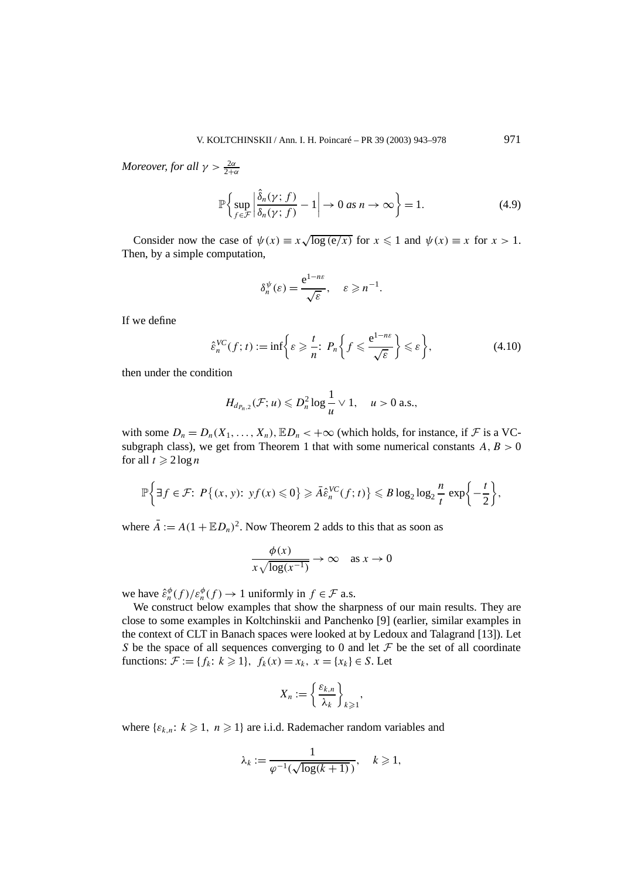*Moreover, for all*  $\gamma > \frac{2\alpha}{2+\alpha}$ 

$$
\mathbb{P}\left\{\sup_{f\in\mathcal{F}}\left|\frac{\hat{\delta}_n(\gamma;f)}{\delta_n(\gamma;f)}-1\right|\to 0 \text{ as } n\to\infty\right\}=1.
$$
 (4.9)

Consider now the case of  $\psi(x) \equiv x \sqrt{\log(e/x)}$  for  $x \le 1$  and  $\psi(x) \equiv x$  for  $x > 1$ . Then, by a simple computation,

$$
\delta_n^{\psi}(\varepsilon) = \frac{e^{1-n\varepsilon}}{\sqrt{\varepsilon}}, \quad \varepsilon \geqslant n^{-1}.
$$

If we define

$$
\hat{\varepsilon}_n^{VC}(f;t) := \inf \bigg\{ \varepsilon \ge \frac{t}{n} \colon P_n \bigg\{ f \le \frac{e^{1-n\varepsilon}}{\sqrt{\varepsilon}} \bigg\} \le \varepsilon \bigg\},\tag{4.10}
$$

then under the condition

$$
H_{d_{P_n,2}}(\mathcal{F};u)\leqslant D_n^2\log\frac{1}{u}\vee 1,\quad u>0\text{ a.s.},
$$

with some  $D_n = D_n(X_1, \ldots, X_n)$ ,  $\mathbb{E} D_n < +\infty$  (which holds, for instance, if  $\mathcal F$  is a VCsubgraph class), we get from Theorem 1 that with some numerical constants  $A, B > 0$ for all  $t \geqslant 2 \log n$ 

$$
\mathbb{P}\bigg\{\exists f\in\mathcal{F}: P\big\{(x,y)\colon\,yf(x)\leqslant 0\big\}\geqslant \bar{A}\hat{\varepsilon}_n^{VC}(f;t)\big\}\leqslant B\log_2\log_2\frac{n}{t}\exp\bigg\{-\frac{t}{2}\bigg\},
$$

where  $\overline{A} := A(1 + \mathbb{E}D_n)^2$ . Now Theorem 2 adds to this that as soon as

$$
\frac{\phi(x)}{x\sqrt{\log(x^{-1})}} \to \infty \quad \text{as } x \to 0
$$

we have  $\hat{\varepsilon}_n^{\phi}(f)/\varepsilon_n^{\phi}(f) \to 1$  uniformly in  $f \in \mathcal{F}$  a.s.

We construct below examples that show the sharpness of our main results. They are close to some examples in Koltchinskii and Panchenko [9] (earlier, similar examples in the context of CLT in Banach spaces were looked at by Ledoux and Talagrand [13]). Let *S* be the space of all sequences converging to 0 and let  $F$  be the set of all coordinate functions:  $\mathcal{F} := \{f_k: k \geq 1\},\ f_k(x) = x_k,\ x = \{x_k\} \in S.$  Let

$$
X_n := \left\{ \frac{\varepsilon_{k,n}}{\lambda_k} \right\}_{k \geqslant 1},
$$

where  $\{\varepsilon_{k,n}: k \geq 1, n \geq 1\}$  are i.i.d. Rademacher random variables and

$$
\lambda_k := \frac{1}{\varphi^{-1}(\sqrt{\log(k+1)})}, \quad k \geq 1,
$$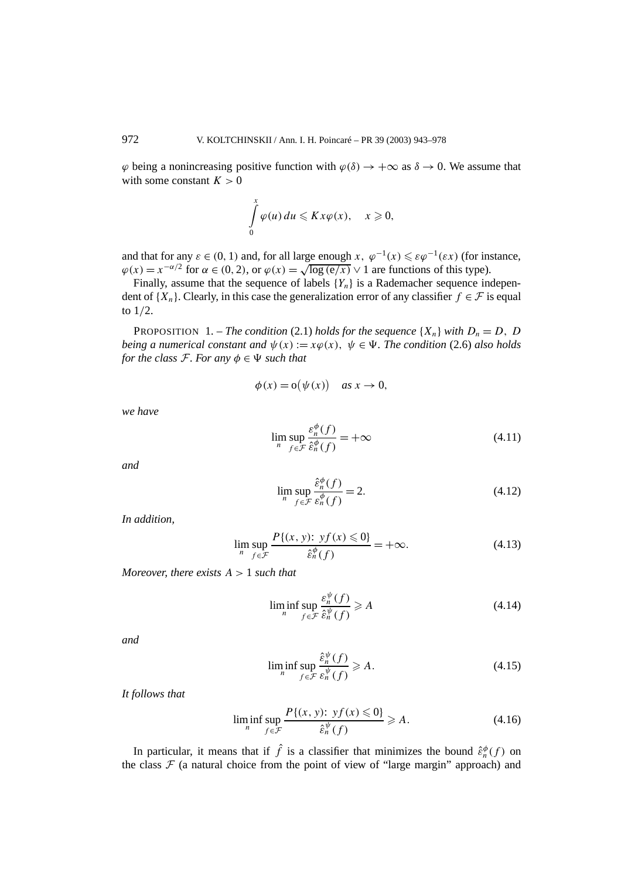$\varphi$  being a nonincreasing positive function with  $\varphi(\delta) \to +\infty$  as  $\delta \to 0$ . We assume that with some constant  $K > 0$ 

$$
\int_{0}^{x} \varphi(u) du \leqslant Kx\varphi(x), \quad x \geqslant 0,
$$

and that for any  $\varepsilon \in (0, 1)$  and, for all large enough *x*,  $\varphi^{-1}(x) \leq \varepsilon \varphi^{-1}(\varepsilon x)$  (for instance,  $\varphi(x) = x^{-\alpha/2}$  for  $\alpha \in (0, 2)$ , or  $\varphi(x) = \sqrt{\log(e/x)} \vee 1$  are functions of this type).

Finally, assume that the sequence of labels  ${Y_n}$  is a Rademacher sequence independent of  $\{X_n\}$ . Clearly, in this case the generalization error of any classifier  $f \in \mathcal{F}$  is equal to 1*/*2.

PROPOSITION 1. – *The condition* (2.1) *holds for the sequence*  $\{X_n\}$  *with*  $D_n = D$ , *D being a numerical constant and*  $\psi(x) := x\varphi(x)$ ,  $\psi \in \Psi$ . The condition (2.6) also holds *for the class*  $\mathcal{F}$ *. For any*  $\phi \in \Psi$  *such that* 

$$
\phi(x) = o(\psi(x)) \quad \text{as } x \to 0,
$$

*we have*

$$
\lim_{n} \sup_{f \in \mathcal{F}} \frac{\varepsilon_n^{\phi}(f)}{\hat{\varepsilon}_n^{\phi}(f)} = +\infty
$$
\n(4.11)

*and*

$$
\lim_{n} \sup_{f \in \mathcal{F}} \frac{\hat{\varepsilon}_n^{\phi}(f)}{\varepsilon_n^{\phi}(f)} = 2.
$$
\n(4.12)

*In addition,*

$$
\lim_{n} \sup_{f \in \mathcal{F}} \frac{P\{(x, y): yf(x) \le 0\}}{\hat{\varepsilon}_n^{\phi}(f)} = +\infty.
$$
 (4.13)

*Moreover, there exists A >* 1 *such that*

$$
\liminf_{n} \sup_{f \in \mathcal{F}} \frac{\varepsilon_n^{\psi}(f)}{\hat{\varepsilon}_n^{\psi}(f)} \geqslant A \tag{4.14}
$$

*and*

$$
\liminf_{n} \sup_{f \in \mathcal{F}} \frac{\hat{\varepsilon}_n^{\psi}(f)}{\varepsilon_n^{\psi}(f)} \ge A. \tag{4.15}
$$

*It follows that*

$$
\liminf_{n} \sup_{f \in \mathcal{F}} \frac{P\{(x, y): yf(x) \leq 0\}}{\hat{\varepsilon}_n^{\psi}(f)} \geq A. \tag{4.16}
$$

In particular, it means that if  $\hat{f}$  is a classifier that minimizes the bound  $\hat{\varepsilon}_n^{\phi}(f)$  on the class  $F$  (a natural choice from the point of view of "large margin" approach) and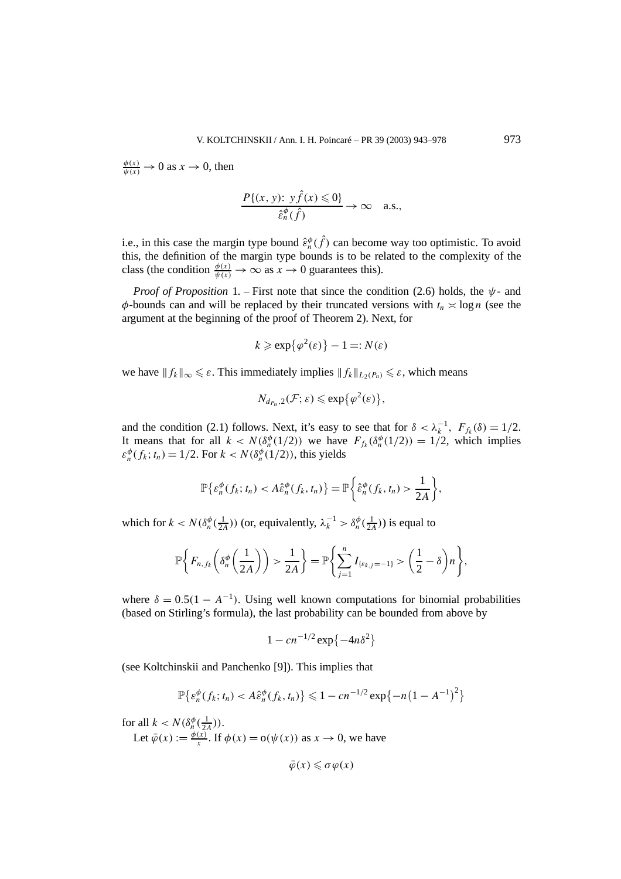$\frac{\phi(x)}{\psi(x)} \to 0$  as  $x \to 0$ , then

$$
\frac{P\{(x, y): y \hat{f}(x) \le 0\}}{\hat{\varepsilon}_n^{\phi}(\hat{f})} \to \infty \quad \text{a.s.},
$$

i.e., in this case the margin type bound  $\hat{\varepsilon}_n^{\phi}(\hat{f})$  can become way too optimistic. To avoid this, the definition of the margin type bounds is to be related to the complexity of the class (the condition  $\frac{\phi(x)}{\psi(x)} \to \infty$  as  $x \to 0$  guarantees this).

*Proof of Proposition* 1*. –* First note that since the condition (2.6) holds, the *ψ*- and *φ*-bounds can and will be replaced by their truncated versions with  $t_n \approx \log n$  (see the argument at the beginning of the proof of Theorem 2). Next, for

$$
k \ge \exp\{\varphi^2(\varepsilon)\} - 1 =: N(\varepsilon)
$$

we have  $|| f_k ||_{\infty} \le \varepsilon$ . This immediately implies  $|| f_k ||_{L_2(P_n)} \le \varepsilon$ , which means

$$
N_{d_{P_n},2}(\mathcal{F};\varepsilon)\leqslant \exp{\lbrace \varphi^2(\varepsilon)\rbrace},
$$

and the condition (2.1) follows. Next, it's easy to see that for  $\delta < \lambda_k^{-1}$ ,  $F_{f_k}(\delta) = 1/2$ . It means that for all  $k < N(\delta_n^{\phi}(1/2))$  we have  $F_{f_k}(\delta_n^{\phi}(1/2)) = 1/2$ , which implies  $\varepsilon_n^{\phi}(f_k; t_n) = 1/2$ . For  $k < N(\delta_n^{\phi}(1/2))$ , this yields

$$
\mathbb{P}\big\{\varepsilon_n^{\phi}(f_k; t_n) < A\hat{\varepsilon}_n^{\phi}(f_k, t_n)\big\} = \mathbb{P}\bigg\{\hat{\varepsilon}_n^{\phi}(f_k, t_n) > \frac{1}{2A}\bigg\},
$$

which for  $k < N(\delta_n^{\phi}(\frac{1}{2A}))$  (or, equivalently,  $\lambda_k^{-1} > \delta_n^{\phi}(\frac{1}{2A})$ ) is equal to

$$
\mathbb{P}\bigg\{F_{n,f_k}\bigg(\delta_n^{\phi}\bigg(\frac{1}{2A}\bigg)\bigg) > \frac{1}{2A}\bigg\} = \mathbb{P}\bigg\{\sum_{j=1}^n I_{\{\varepsilon_{k,j}=-1\}} > \bigg(\frac{1}{2}-\delta\bigg)n\bigg\},\
$$

where  $\delta = 0.5(1 - A^{-1})$ . Using well known computations for binomial probabilities (based on Stirling's formula), the last probability can be bounded from above by

$$
1 - cn^{-1/2} \exp\{-4n\delta^2\}
$$

(see Koltchinskii and Panchenko [9]). This implies that

$$
\mathbb{P}\left\{\varepsilon_n^{\phi}(f_k; t_n) < A\hat{\varepsilon}_n^{\phi}(f_k, t_n)\right\} \leq 1 - c n^{-1/2} \exp\{-n\left(1 - A^{-1}\right)^2\}
$$

for all  $k < N(\delta_n^{\phi}(\frac{1}{2A}))$ . Let  $\bar{\varphi}(x) := \frac{\phi(x)}{x}$ . If  $\phi(x) = o(\psi(x))$  as  $x \to 0$ , we have

$$
\bar{\varphi}(x) \leq \sigma \varphi(x)
$$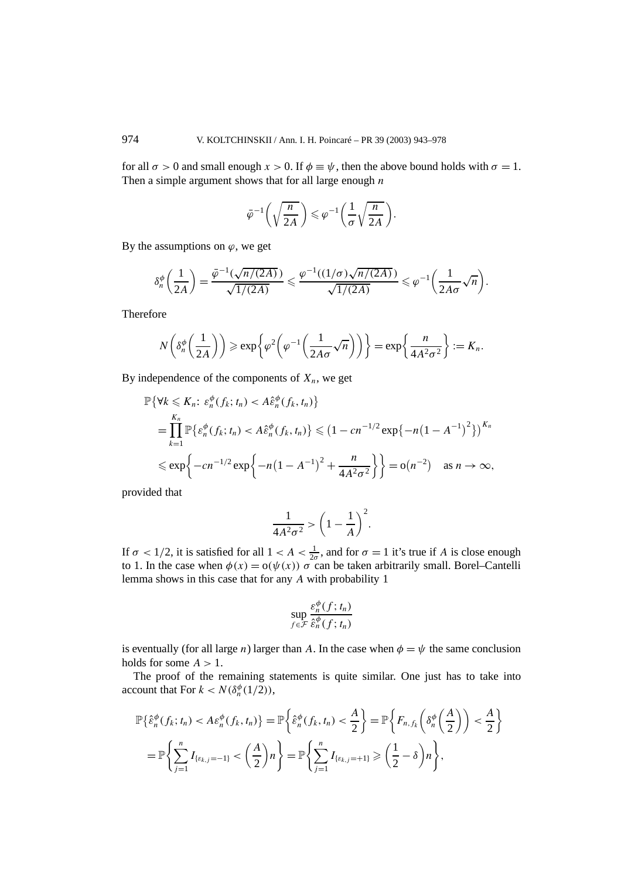for all  $\sigma > 0$  and small enough  $x > 0$ . If  $\phi \equiv \psi$ , then the above bound holds with  $\sigma = 1$ . Then a simple argument shows that for all large enough *n*

$$
\bar{\varphi}^{-1}\left(\sqrt{\frac{n}{2A}}\,\right)\leqslant \varphi^{-1}\left(\frac{1}{\sigma}\sqrt{\frac{n}{2A}}\,\right).
$$

By the assumptions on  $\varphi$ , we get

$$
\delta_n^{\phi}\left(\frac{1}{2A}\right) = \frac{\bar{\varphi}^{-1}(\sqrt{n/(2A)})}{\sqrt{1/(2A)}} \leq \frac{\varphi^{-1}((1/\sigma)\sqrt{n/(2A)})}{\sqrt{1/(2A)}} \leq \varphi^{-1}\left(\frac{1}{2A\sigma}\sqrt{n}\right).
$$

Therefore

$$
N\left(\delta_n^{\phi}\left(\frac{1}{2A}\right)\right) \ge \exp\left\{\varphi^2\left(\varphi^{-1}\left(\frac{1}{2A\sigma}\sqrt{n}\right)\right)\right\} = \exp\left\{\frac{n}{4A^2\sigma^2}\right\} := K_n.
$$

By independence of the components of  $X_n$ , we get

$$
\mathbb{P}\{\forall k \leq K_n: \varepsilon_n^{\phi}(f_k; t_n) < A\hat{\varepsilon}_n^{\phi}(f_k, t_n)\} \\
= \prod_{k=1}^{K_n} \mathbb{P}\{\varepsilon_n^{\phi}(f_k; t_n) < A\hat{\varepsilon}_n^{\phi}(f_k, t_n)\} \leq (1 - cn^{-1/2} \exp\{-n(1 - A^{-1})^2\})^{K_n} \\
\leq \exp\left\{-cn^{-1/2} \exp\left\{-n(1 - A^{-1})^2 + \frac{n}{4A^2\sigma^2}\right\}\right\} = o(n^{-2}) \quad \text{as } n \to \infty,
$$

provided that

$$
\frac{1}{4A^2\sigma^2} > \left(1 - \frac{1}{A}\right)^2.
$$

If  $\sigma$  < 1/2, it is satisfied for all  $1 < A < \frac{1}{2\sigma}$ , and for  $\sigma = 1$  it's true if *A* is close enough to 1. In the case when  $\phi(x) = o(\psi(x))$   $\sigma$  can be taken arbitrarily small. Borel–Cantelli lemma shows in this case that for any *A* with probability 1

$$
\sup_{f \in \mathcal{F}} \frac{\varepsilon_n^{\phi}(f; t_n)}{\hat{\varepsilon}_n^{\phi}(f; t_n)}
$$

is eventually (for all large *n*) larger than *A*. In the case when  $\phi = \psi$  the same conclusion holds for some  $A > 1$ .

The proof of the remaining statements is quite similar. One just has to take into account that For  $k < N(\delta_n^{\phi}(1/2)),$ 

$$
\mathbb{P}\left\{\hat{\varepsilon}_{n}^{\phi}(f_{k};t_{n}) < A\varepsilon_{n}^{\phi}(f_{k},t_{n})\right\} = \mathbb{P}\left\{\hat{\varepsilon}_{n}^{\phi}(f_{k},t_{n}) < \frac{A}{2}\right\} = \mathbb{P}\left\{F_{n,f_{k}}\left(\delta_{n}^{\phi}\left(\frac{A}{2}\right)\right) < \frac{A}{2}\right\}
$$
\n
$$
= \mathbb{P}\left\{\sum_{j=1}^{n} I_{\{\varepsilon_{k,j}=-1\}} < \left(\frac{A}{2}\right)n\right\} = \mathbb{P}\left\{\sum_{j=1}^{n} I_{\{\varepsilon_{k,j}=-1\}} \geq \left(\frac{1}{2}-\delta\right)n\right\},
$$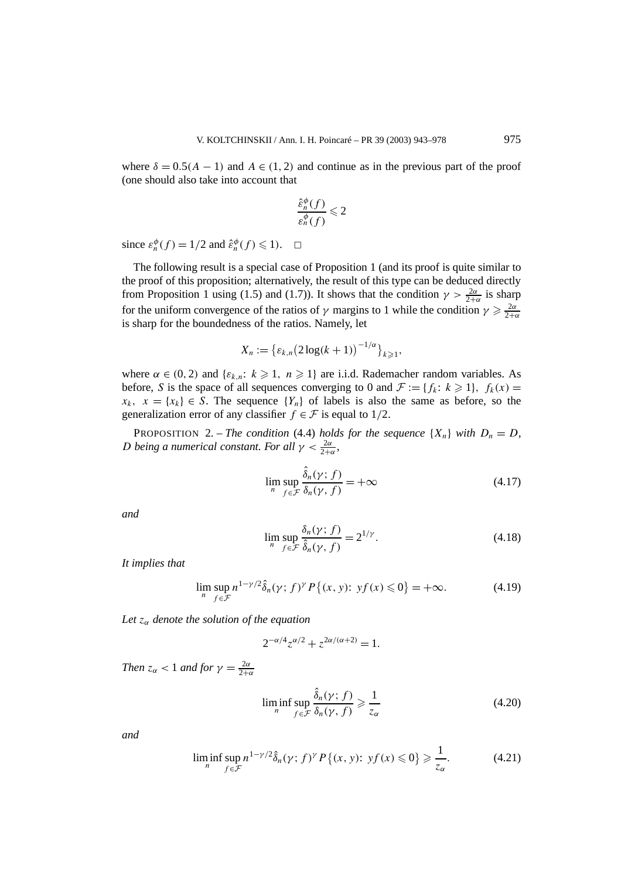where  $\delta = 0.5(A - 1)$  and  $A \in (1, 2)$  and continue as in the previous part of the proof (one should also take into account that

$$
\frac{\hat{\varepsilon}_n^{\phi}(f)}{\varepsilon_n^{\phi}(f)} \leq 2
$$

since  $\varepsilon_n^{\phi}(f) = 1/2$  and  $\hat{\varepsilon}_n^{\phi}(f) \leq 1$ ).  $\Box$ 

The following result is a special case of Proposition 1 (and its proof is quite similar to the proof of this proposition; alternatively, the result of this type can be deduced directly from Proposition 1 using (1.5) and (1.7)). It shows that the condition  $\gamma > \frac{2\alpha}{2+\alpha}$  is sharp for the uniform convergence of the ratios of  $\gamma$  margins to 1 while the condition  $\gamma \geq \frac{2\alpha}{2+\alpha}$ is sharp for the boundedness of the ratios. Namely, let

$$
X_n:=\left\{\varepsilon_{k,n}\big(2\log(k+1)\big)^{-1/\alpha}\right\}_{k\geqslant 1},
$$

where  $\alpha \in (0, 2)$  and  $\{\varepsilon_{k,n}: k \geq 1, n \geq 1\}$  are i.i.d. Rademacher random variables. As before, *S* is the space of all sequences converging to 0 and  $\mathcal{F} := \{f_k : k \geq 1\}$ ,  $f_k(x) =$  $x_k$ ,  $x = \{x_k\} \in S$ . The sequence  $\{Y_n\}$  of labels is also the same as before, so the generalization error of any classifier  $f \in \mathcal{F}$  is equal to 1/2.

PROPOSITION 2. – *The condition* (4.4) *holds for the sequence*  $\{X_n\}$  *with*  $D_n = D$ *, D being a numerical constant. For all*  $\gamma < \frac{2\alpha}{2+\alpha}$ *,* 

$$
\lim_{n} \sup_{f \in \mathcal{F}} \frac{\hat{\delta}_n(\gamma; f)}{\delta_n(\gamma, f)} = +\infty
$$
\n(4.17)

*and*

$$
\lim_{n} \sup_{f \in \mathcal{F}} \frac{\delta_n(\gamma; f)}{\hat{\delta}_n(\gamma, f)} = 2^{1/\gamma}.
$$
\n(4.18)

*It implies that*

$$
\lim_{n} \sup_{f \in \mathcal{F}} n^{1-\gamma/2} \hat{\delta}_n(\gamma; f)^{\gamma} P\{(x, y): yf(x) \leq 0\} = +\infty.
$$
 (4.19)

*Let zα denote the solution of the equation*

$$
2^{-\alpha/4}z^{\alpha/2} + z^{2\alpha/(\alpha+2)} = 1.
$$

*Then*  $z_{\alpha} < 1$  *and for*  $\gamma = \frac{2\alpha}{2+\alpha}$ 

$$
\liminf_{n} \sup_{f \in \mathcal{F}} \frac{\hat{\delta}_n(\gamma; f)}{\delta_n(\gamma, f)} \geqslant \frac{1}{z_{\alpha}} \tag{4.20}
$$

*and*

$$
\liminf_{n} \sup_{f \in \mathcal{F}} n^{1-\gamma/2} \hat{\delta}_n(\gamma; f)^{\gamma} P\{(x, y): yf(x) \leq 0\} \geq \frac{1}{z_{\alpha}}.
$$
 (4.21)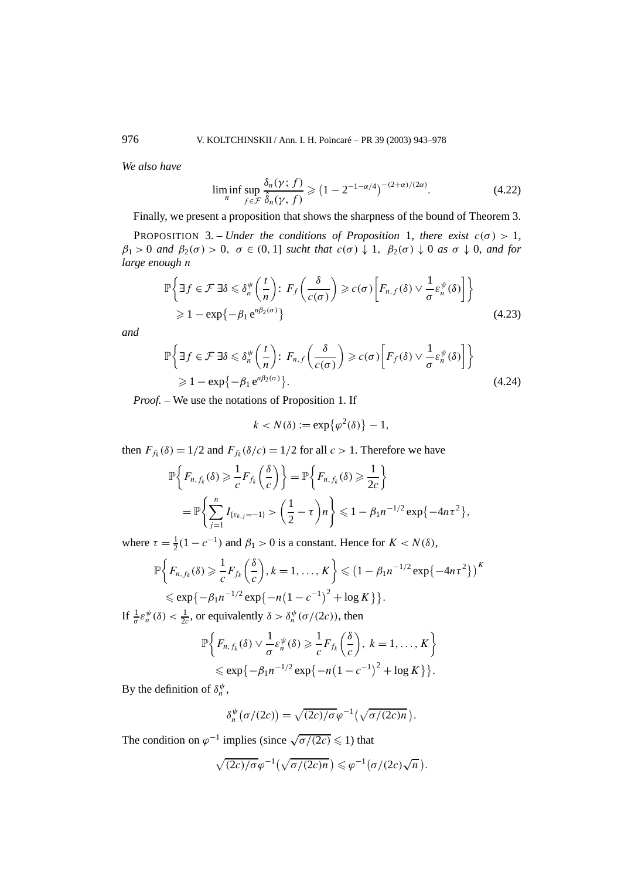*We also have*

$$
\liminf_{n} \sup_{f \in \mathcal{F}} \frac{\delta_n(\gamma; f)}{\hat{\delta}_n(\gamma, f)} \geqslant \left(1 - 2^{-1 - \alpha/4}\right)^{-(2 + \alpha)/(2\alpha)}.\tag{4.22}
$$

Finally, we present a proposition that shows the sharpness of the bound of Theorem 3.

PROPOSITION 3. – *Under the conditions of Proposition* 1*, there exist*  $c(\sigma) > 1$ *,*  $\beta_1 > 0$  *and*  $\beta_2(\sigma) > 0$ ,  $\sigma \in (0, 1]$  *sucht that*  $c(\sigma) \downarrow 1$ ,  $\beta_2(\sigma) \downarrow 0$  *as*  $\sigma \downarrow 0$ *, and for large enough n*

$$
\mathbb{P}\left\{\exists f \in \mathcal{F} \, \exists \delta \leqslant \delta_n^{\psi}\left(\frac{t}{n}\right): \, F_f\left(\frac{\delta}{c(\sigma)}\right) \geqslant c(\sigma) \left[F_{n,f}(\delta) \vee \frac{1}{\sigma} \varepsilon_n^{\psi}(\delta)\right]\right\} \geqslant 1 - \exp\{-\beta_1 e^{n\beta_2(\sigma)}\}
$$
\n
$$
(4.23)
$$

*and*

$$
\mathbb{P}\left\{\exists f \in \mathcal{F} \, \exists \delta \leqslant \delta_n^{\psi}\left(\frac{t}{n}\right): F_{n,f}\left(\frac{\delta}{c(\sigma)}\right) \geqslant c(\sigma)\left[F_f(\delta) \vee \frac{1}{\sigma} \varepsilon_n^{\psi}(\delta)\right]\right\} \geqslant 1 - \exp\{-\beta_1 e^{n\beta_2(\sigma)}\}.
$$
\n(4.24)

*Proof. –* We use the notations of Proposition 1. If

$$
k < N(\delta) := \exp\{\varphi^2(\delta)\} - 1,
$$

then  $F_{f_k}(\delta) = 1/2$  and  $F_{f_k}(\delta/c) = 1/2$  for all  $c > 1$ . Therefore we have

$$
\mathbb{P}\left\{F_{n,f_k}(\delta)\geqslant\frac{1}{c}F_{f_k}\left(\frac{\delta}{c}\right)\right\}=\mathbb{P}\left\{F_{n,f_k}(\delta)\geqslant\frac{1}{2c}\right\}
$$
\n
$$
=\mathbb{P}\left\{\sum_{j=1}^nI_{\{\varepsilon_{k,j}=-1\}}>\left(\frac{1}{2}-\tau\right)n\right\}\leqslant1-\beta_1n^{-1/2}\exp\{-4n\tau^2\},
$$

where  $\tau = \frac{1}{2}(1 - c^{-1})$  and  $\beta_1 > 0$  is a constant. Hence for  $K < N(\delta)$ ,

$$
\mathbb{P}\left\{F_{n,f_k}(\delta)\geqslant\frac{1}{c}F_{f_k}\left(\frac{\delta}{c}\right),k=1,\ldots,K\right\}\leqslant\left(1-\beta_1n^{-1/2}\exp\{-4n\tau^2\}\right)^K
$$
\n
$$
\leqslant\exp\{-\beta_1n^{-1/2}\exp\{-n(1-c^{-1})^2+\log K\}\}.
$$

If  $\frac{1}{\sigma} \varepsilon_n^{\psi}(\delta) < \frac{1}{2c}$ , or equivalently  $\delta > \delta_n^{\psi}(\sigma/(2c))$ , then

$$
\mathbb{P}\Big\{F_{n,f_k}(\delta)\vee\frac{1}{\sigma}\varepsilon_n^{\psi}(\delta)\geqslant\frac{1}{c}F_{f_k}\bigg(\frac{\delta}{c}\bigg),\ k=1,\ldots,K\Big\}
$$
  
\$\leqslant \exp\{-\beta\_1n^{-1/2}\exp\{-n(1-c^{-1})^2+\log K\}\}\$.

By the definition of  $\delta_n^{\psi}$ ,

$$
\delta_n^{\psi}(\sigma/(2c)) = \sqrt{(2c)/\sigma} \varphi^{-1}(\sqrt{\sigma/(2c)n}).
$$

The condition on  $\varphi^{-1}$  implies (since  $\sqrt{\sigma/(2c)} \leq 1$ ) that

$$
\sqrt{(2c)/\sigma}\varphi^{-1}\big(\sqrt{\sigma/(2c)n}\big) \leqslant \varphi^{-1}\big(\sigma/(2c)\sqrt{n}\big).
$$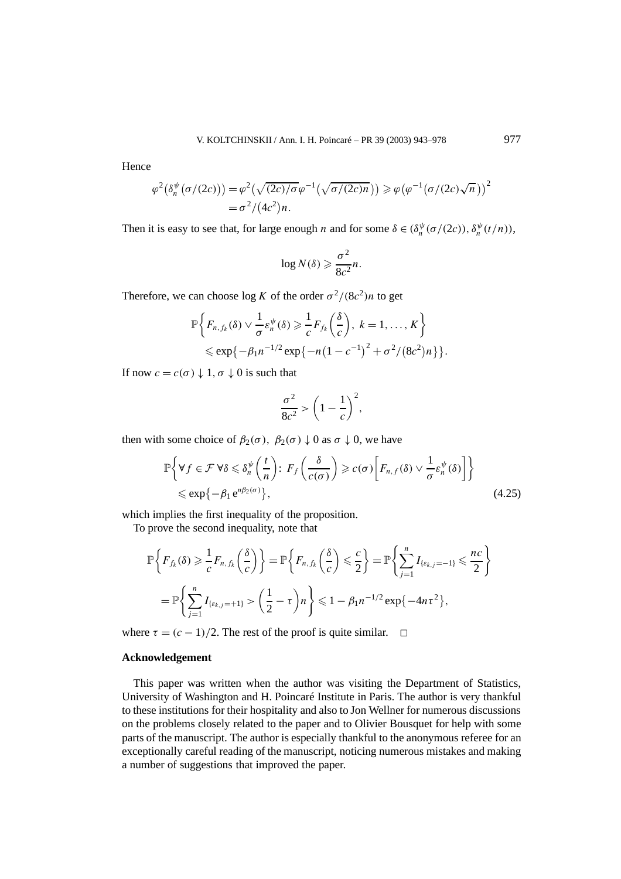Hence

$$
\varphi^2(\delta_n^{\psi}(\sigma/(2c))) = \varphi^2(\sqrt{(2c)/\sigma}\varphi^{-1}(\sqrt{\sigma/(2c)n})) \ge \varphi(\varphi^{-1}(\sigma/(2c)\sqrt{n}))^2
$$
  
=  $\sigma^2/(4c^2)n$ .

Then it is easy to see that, for large enough *n* and for some  $\delta \in (\delta_n^{\psi}(\sigma/(2c)), \delta_n^{\psi}(t/n))$ ,

$$
\log N(\delta) \geqslant \frac{\sigma^2}{8c^2}n.
$$

Therefore, we can choose  $\log K$  of the order  $\sigma^2/(8c^2)n$  to get

$$
\mathbb{P}\Big\{F_{n,f_k}(\delta)\vee\frac{1}{\sigma}\varepsilon_n^{\psi}(\delta)\geqslant\frac{1}{c}F_{f_k}\bigg(\frac{\delta}{c}\bigg),\ k=1,\ldots,K\Big\}\\ \leqslant \exp\big\{-\beta_1n^{-1/2}\exp\big\{-n\big(1-c^{-1}\big)^2+\sigma^2/(8c^2\big)n\big\}\big\}.
$$

If now  $c = c(\sigma) \downarrow 1, \sigma \downarrow 0$  is such that

$$
\frac{\sigma^2}{8c^2} > \left(1 - \frac{1}{c}\right)^2,
$$

then with some choice of  $\beta_2(\sigma)$ ,  $\beta_2(\sigma) \downarrow 0$  as  $\sigma \downarrow 0$ , we have

$$
\mathbb{P}\left\{\forall f \in \mathcal{F} \,\forall \delta \leqslant \delta_n^{\psi}\left(\frac{t}{n}\right): \, F_f\left(\frac{\delta}{c(\sigma)}\right) \geqslant c(\sigma) \left[F_{n,f}(\delta) \vee \frac{1}{\sigma} \varepsilon_n^{\psi}(\delta)\right]\right\} \leqslant \exp\{-\beta_1 e^{n\beta_2(\sigma)}\},\tag{4.25}
$$

which implies the first inequality of the proposition.

To prove the second inequality, note that

$$
\mathbb{P}\left\{F_{f_k}(\delta)\geqslant\frac{1}{c}F_{n,f_k}\left(\frac{\delta}{c}\right)\right\}=\mathbb{P}\left\{F_{n,f_k}\left(\frac{\delta}{c}\right)\leqslant\frac{c}{2}\right\}=\mathbb{P}\left\{\sum_{j=1}^nI_{\{\varepsilon_{k,j}=-1\}}\leqslant\frac{nc}{2}\right\}
$$
\n
$$
=\mathbb{P}\left\{\sum_{j=1}^nI_{\{\varepsilon_{k,j}=-1\}}\geqslant\left(\frac{1}{2}-\tau\right)n\right\}\leqslant1-\beta_1n^{-1/2}\exp\{-4n\tau^2\},
$$

where  $\tau = (c - 1)/2$ . The rest of the proof is quite similar.  $\Box$ 

# **Acknowledgement**

This paper was written when the author was visiting the Department of Statistics, University of Washington and H. Poincaré Institute in Paris. The author is very thankful to these institutions for their hospitality and also to Jon Wellner for numerous discussions on the problems closely related to the paper and to Olivier Bousquet for help with some parts of the manuscript. The author is especially thankful to the anonymous referee for an exceptionally careful reading of the manuscript, noticing numerous mistakes and making a number of suggestions that improved the paper.